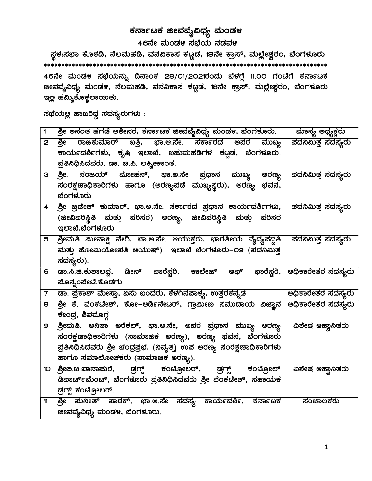## ಕರ್ನಾಟಕ ಜೀವವೈವಿಧ್ಯ ಮಂಡಳ 46ನೇ ಮಂಡಳ ಸಭೆಯ ನಡವಳ

 ¸ÀܼÀ:¸À¨sÁ PÉÆoÀr, £É®ªÀĺÀr, ªÀ£À«PÁ¸À PÀlÖqÀ, 18£Éà PÁæ¸ï, ªÀÄ¯É èñÀégÀA, ¨ÉAUÀ¼ÀÆgÀÄ \*\*\*\*\*\*\*\*\*\*\*\*\*\*\*\*\*\*\*\*\*\*\*\*\*\*\*\*\*\*\*\*\*\*\*\*\*\*\*\*\*\*\*\*\*\*\*\*\*\*\*\*\*\*\*\*\*\*\*\*\*\*\*\*\*\*\*\*\*\*\*\*\*\*\*\*\*\*\*\*\* 46ನೇ ಮಂಡಳ ಸಭೆಯನ್ನು ದಿನಾಂಕ 28/01/2021ರಂದು ಬೆಳಗ್ಗೆ 11.00 ಗಂಟೆಗೆ ಕರ್ನಾಟಕ æಟವೈವಿಧ್ಯ ಮಂಡಳ, ನೆಲಮಹಡಿ, ವನವಿಕಾಸ ಕಟ್ಟಡ, 18ನೇ ಕ್ರಾಸ್, ಮಲ್ಲೇಶ್ವರಂ, ಬೆಂಗಳೂರು ಇಲ್ಲ ಹಮ್ಮಿಕೊಳ್ಳಲಾಯಿತು.

ಸಭೆಯಲ್ಲ ಹಾಜರಿದ್ದ ಸದಸ್ಯರುಗಳು :

| 1               | <u>ಶ್ರೀ ಅನಂತ ಹೆಗಡೆ ಅಶೀಸರ, ಕರ್ನಾಟಕ ಜೀವವೈವಿಧ್ಯ ಮಂಡಳ, ಬೆಂಗಳೂರು.      ಮಾನ್ಯ ಅಧ್ಯಕ್ಷರು </u>                                                          |                           |
|-----------------|-------------------------------------------------------------------------------------------------------------------------------------------------|---------------------------|
| $\mathbf{2}$    | <u>ಶ್ರೀ ರಾಜಕುಮಾರ್ ಖತ್ರಿ, ಭಾ.ಆ.ಸೇ. ಸರ್ಕಾರದ</u><br>ಅಪರ ಮುಖ್ಯ                                                                                      | ಪದನಿಮಿತ್ತ ಸದಸ್ಯರು         |
|                 | ಕಾರ್ಯದರ್ಶಿಗಳು, ಕೃಷಿ ಇಲಾಖೆ, ಬಹುಮಹಡಿಗಳ ಕಟ್ಟಡ, ಬೆಂಗಳೂರು.                                                                                           |                           |
|                 | ಪ್ರತಿನಿಧಿಸಿದವರು. ಡಾ. ಐ.ಪಿ. ಲಕ್ಶ್ಮೀಕಾಂತ.                                                                                                         |                           |
| З               | <u>ಶ್ರೀ. ಸಂಜಯ್ ಮೋಹನ್, ಭಾ.ಅ.ಸೇ ಪ್ರಧಾನ ಮುಖ್ಯ ಅರಣ್ಯ ಪದನಿಮಿತ್ತ-ಸದಸ್ಯರು</u>                                                                          |                           |
|                 | ಸಂರಕ್ಷಣಾಧಿಕಾರಿಗಳು ಹಾಗೂ (ಅರಣ್ಯಪಡೆ ಮುಖ್ಯಸ್ಥರು), ಅರಣ್ಯ ಭವನ,                                                                                        |                           |
|                 | ಬೆಂಗಳೂರು                                                                                                                                        |                           |
| $\overline{4}$  |                                                                                                                                                 |                           |
|                 | (ಜೀವಿಪರಿಸ್ಥಿತಿ ಮತ್ತು ಪರಿಸರ) ಅರಣ್ಯ, ಜೀವಿಪರಿಸ್ಥಿತಿ ಮತ್ತು ಪರಿಸರ                                                                                    |                           |
|                 | ಇಲಾಖೆ,ಬೆಂಗಳೂರು                                                                                                                                  |                           |
| 5               | _ಶ್ರೀಮತಿ  ಮೀನಾಕ್ಷಿ  ನೇಗಿ,  ಭಾ.ಅ.ಸೇ.  ಆಯುಕ್ತರು,  ಭಾರತೀಯ  ವೈದ್ಯಪದ್ಧತಿ    ಪದನಿಮಿತ್ತ ಸದಸ್ಯರು<br>ಮತ್ತು ಹೋಮಿಯೋಪತಿ ಆಯುಷ್) ಇಲಾಖೆ ಬೆಂಗಳೂರು–೦9 (ಪದನಿಮಿತ್ತ |                           |
|                 | ಸದಸ್ಯರು).                                                                                                                                       |                           |
| 6               | _ಡಾ.ಸಿ.ಜಿ.ಕುಶಾಲಪ್ಪ, ಡೀನ್ ಫಾರೆಸ್ಟರಿ, ಕಾಲೇಜ್ ಆಫ್ ಫಾರೆಸ್ಟರಿ, ಅಧಿಕಾರೇತರ ಸದಸ್ಯರು                                                                     |                           |
|                 | <u>ಪೊನ್</u> ನಂಪೇಟೆ,ಕೊಡಗು                                                                                                                        |                           |
| $\overline{7}$  | ಡಾ. ಪ್ರಕಾಶ್ ಮೇಸ್ತಾ, ಏಸು ಬಂದರು, ಕೆಳಗಿನಪಾಳ್ಯ, ಉತ್ತರಕನ್ನಡ                                                                                          | <u>ಅಧಿಕಾರೇತ</u> ರ ಸದಸ್ಯರು |
| 8               | ಶ್ರೀ ಕೆ. ವೆಂಕಟೇಶ್, ಕೋ–ಆರ್ಡಿನೇಟರ್, ಗ್ರಾಮೀಣ ಸಮುದಾಯ ವಿಜ್ಞಾನ ಅಧಿಕಾರೇತರ ಸದಸ್ಯರು                                                                      |                           |
|                 | ಕೇಂದ್ರ, ಶಿವಮೊಗ್ಗ                                                                                                                                |                           |
| 9               | ಶ್ರೀಮತಿ. ಅನಿತಾ ಅರೆಕಲ್, ಭಾ.ಅ.ಸೇ, ಅಪರ ಪ್ರಧಾನ ಮುಖ್ಯ ಅರಣ್ಯ  ವಿಶೇಷ-ಆಹ್ವಾನಿತರು                                                                        |                           |
|                 | ಸಂರಕ್ಷಣಾಧಿಕಾರಿಗಳು (ಸಾಮಾಜಿಕ ಅರಣ್ಯ), ಅರಣ್ಯ ಭವನ, ಬೆಂಗಳೂರು                                                                                          |                           |
|                 | ಪ್ರತಿನಿಧಿಸಿದವರು ಶ್ರೀ ಚಂದ್ರಪ್ರಭ, (ನಿವೃತ್ತ) ಉಪ ಅರಣ್ಯ ಸಂರಕ್ಷಣಾಧಿಕಾರಿಗಳು                                                                            |                           |
|                 | ಹಾಗೂ ಸಮಾಲೋಚಕರು (ಸಾಮಾಜಿಕ ಅರಣ್ಯ).                                                                                                                 |                           |
| 10 <sub>o</sub> | ಶ್ರೀಜಿ.ೞ.ಖಾನಾಮರೆ, ಡ್ರಗ್ಸ್ ಕಂಟ್ರೋಲರ್, ಡ್ರಗ್ಸ್ ಕಂಟ್ರೋಲ್                                                                                           | ವಿಶೇಷ ಆಹ್ವಾನಿತರು          |
|                 | ಡಿಪಾರ್ಟ್ಮೆಂಟ್, ಬೆಂಗಳೂರು ಪ್ರತಿನಿಧಿಸಿದವರು ಶ್ರೀ ವೆಂಕಟೇಶ್, ಸಹಾಯಕ                                                                                    |                           |
|                 | ಡ್ರಗ್ಸ್ ಕಂಟ್ರೋಲರ್.                                                                                                                              |                           |
| 11              | <u>ಶ್ರೀ ಮನೀತ್ ಪಾಠಕ್, ಭಾ.ಅ.ಸೇ ಸದಸ್ಯ ಕಾರ್ಯದರ್ಶಿ, ಕರ್ನಾಟಕ </u>                                                                                     | ಸಂಚಾಲಕರು                  |
|                 | <mark>ಜೀವವೈ</mark> ವಿಧ್ಯ ಮಂಡಳ, ಬೆಂಗಳೂರು.                                                                                                        |                           |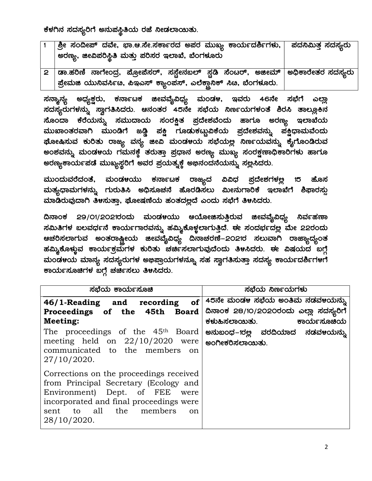ಕೆಳಗಿನ ಸದಸ್ಯರಿಗೆ ಅನುಪಸ್ಥಿತಿಯ ರಜೆ ನೀಡಲಾಯಿತು.

| ್ರಿಲ ಸಂದೀಪ್ ದವೇ, ಭಾ.ಆ.ಸೇ.ಸರ್ಕಾರದ ಅಪರ ಮುಖ್ಯ ಕಾರ್ಯದರ್ಶಿಗಳು,  ಪದನಿಮಿತ್ತ ಸದಸ್ಯರು<br>ಅರಣ್ಯ, ಜೀವಿಪರಿಸ್ಥಿತಿ ಮತ್ತು ಪರಿಸರ ಇಲಾಖೆ, ಬೆಂಗಳೂರು                        |  |
|---------------------------------------------------------------------------------------------------------------------------------------------------------|--|
| _2   ಡಾ.ಹರಿಣಿ ನಾಗೇಂದ್ರ, ಪ್ರೋಪೆಸರ್, ಸಸ್ಟೇನಬಲ್ ಸ್ಪಡಿ ಸೆಂಟರ್, ಅಜೀಮ್   ಅಧಿಕಾರೇತರ ಸದಸ್ಯರು<br>ಪ್ರೇಮಜಿ ಯುನಿವರ್ಸಿೞ, ಪಿಇಎಸ್ ಕ್ಯಾಂಪಸ್, ಎಲೆಕ್ಷಾನಿಕ್ ಸಿೞ, ಬೆಂಗಳೂರು. |  |

ಸನ್ಶಾನ್ಯ ಅಧ್ಯಕ್ಷರು, ಕರ್ನಾಟಕ ಜೀವವೈವಿಧ್ಯ ಮಂಡ೪, ಇವರು 46ನೇ ಸಭೆಗೆ ಎಲ್ಲಾ ಸದಸ್ಯರುಗಳನ್ನು ಸ್ವಾಗತಿಸಿದರು. ಆನಂತರ 45ನೇ ಸಭೆಯ ನಿರ್ಣಯಗಳಂತೆ ಶಿರಸಿ ತಾಲ್ಲೂ<del>ಕ</del>ಿನ ಸೊಂದಾ ಕೆರೆಯನ್ನು ಸಮುದಾಯ ಸಂರಕ್ಷಿತ ಪ್ರದೇಶವೆಂದು ಹಾಗೂ ಅರಣ್ಯ ಇಲಾಖೆಯ ಮುಖಾಂತರವಾಗಿ ಮುಂಡಿಗೆ ಜಡ್ಡಿ ಪಕ್ಷಿ ಗೂಡುಕಟ್ಟುವಿಕೆಯ ಪ್ರದೇಶವನ್ನು ಪಕ್ಷಿಧಾಮವೆಂದು ಢೋಷಿಸುವ ಕುರಿತು ರಾಜ್ಯ ವನ್ಯ ಜೀವಿ ಮಂಡ೪ಯ ಸಭೆಯಲ್ಲ ನಿರ್ಣಯವನ್ನು <del>ಕ</del>ೈಗೊಂಡಿರುವ ಅಂಶವನ್ನು ಮಂಡ೪ಯ ಗಮನಕ್ಕೆ ತರುತ್ತಾ ಪ್ರಧಾನ ಅರಣ್ಯ ಮುಖ್ಯ ಸಂರಕ್ಷಣಾಧಿಕಾರಿಗಳು ಹಾಗೂ ಅರಣ್ಯಕಾರ್ಯಪಡೆ ಮುಖ್ಯಸ್ಥರಿಗೆ ಅವರ ಪ್ರಯತ್ನಕ್ಕೆ ಅಭಿನಂದನೆಯನ್ನು ಸ<u>ಲ್</u>ಲಸಿದರು.

ಮುಂದುವರೆದಂತೆ, ಮಂಡಳಯು ಕರ್ನಾಟಕ ರಾಜ್ಯದ ವಿವಿಧ ಪ್ರದೇಶಗಳಲ್ಲ 15 ಹೊಸ ಮತ್ಯಧಾಮಗಳನ್ನು ಗುರುತಿಸಿ ಅಧಿಸೂಚನೆ ಹೊರಡಿಸಲು ಮೀನುಗಾರಿಕೆ ಇಲಾಖೆಗೆ ಶಿಫಾರಸ್ಸು ಮಾಡಿರುವುದಾಗಿ ತಿಳಸುತ್ತಾ, ಘೋಷಣೆಯ ಹಂತದಲ್ಲದೆ ಎಂದು ಸಭೆಗೆ ತಿಳಸಿದರು.

ದಿನಾಂಕ 29/01/2021ರಂದು ಮಂಡ೪ಯು ಆಯೋಜಿಸುತ್ತಿರುವ ಜೀವವೈವಿಧ್ಯ ನಿರ್ವಹಣಾ ಸಮಿತಿಗಳ ಬಲವರ್ಧನೆ ಕಾರ್ಯಗಾರವನ್ನು ಹಮ್ಮಿಕೊಳ್ಳಲಾಗುತ್ತಿದೆ. ಈ ಸಂದರ್ಭದ<u>ಲ್ಲ</u> ಮೇ 22ರಂದು ಆಚರಿಸಲಾಗುವ ಅಂತರಾಷ್ಟ್ರೀಯ ಜೀವವೈವಿಧ್ಯ ದಿನಾಚರಣೆ–2021ರ ಸಲುವಾಗಿ ರಾಜ್ಯಾದ್ಯಂತ ಹಮ್ಮಿಕೊಳ್ಳುವ ಕಾರ್ಯಕ್ರಮಗಳ ಕುರಿತು ಚರ್ಚಿಸಲಾಗುವುದೆಂದು ತಿಳಸಿದರು. ಈ ವಿಷಯದ ಬಗ್ಗೆ ಮಂಡಳಯ ಮಾನ್ಯ ಸದಸ್ಯರುಗಳ ಅಭಿಪ್ರಾಯಗಳನ್ನೂ ಸಹ ಸ್ವಾಗತಿಸುತ್ತಾ ಸದಸ್ಯ ಕಾರ್ಯದರ್ಶಿಗಳಗೆ ಕಾರ್ಯಸೂಚಿಗಳ ಬಗ್ಗೆ ಚರ್ಚಿಸಲು ತಿಳಸಿದರು.

| ಸಭೆಯ ಕಾರ್ಯಸೂಚಿ                                | ಸಭೆಯ ನಿರ್ಣಯಗಳು                         |  |
|-----------------------------------------------|----------------------------------------|--|
| of <sub>l</sub><br>46/1-Reading and recording | 45ನೇ ಮಂಡಳ ಸಭೆಯ ಅಂತಿಮ ನಡವಳಯನ್ನು         |  |
| Proceedings of the 45th Board                 | ದಿನಾಂಕ 28/10/2020ರಂದು ಎಲ್ಲಾ ಸದಸ್ಯರಿಗೆ  |  |
| Meeting:                                      | ಕಳುಹಿಸಲಾಯಿತು.               ಕಾರ್ಯಸೂಚಿಯ |  |
| The proceedings of the 45 <sup>th</sup> Board | ಅನುಬಂಧ–1ರಲ್ಲ ವರದಿಯಾದ ನಡವ೪ಯನ್ನು         |  |
| meeting held on $22/10/2020$ were             | ಅಂಗೀಕರಿಸಲಾಯಿತು.                        |  |
| communicated to the members on                |                                        |  |
| 27/10/2020.                                   |                                        |  |
| Corrections on the proceedings received       |                                        |  |
| from Principal Secretary (Ecology and         |                                        |  |
| Environment) Dept. of FEE<br>were             |                                        |  |
| incorporated and final proceedings were       |                                        |  |
| sent to all<br>the members<br>on              |                                        |  |
| 28/10/2020.                                   |                                        |  |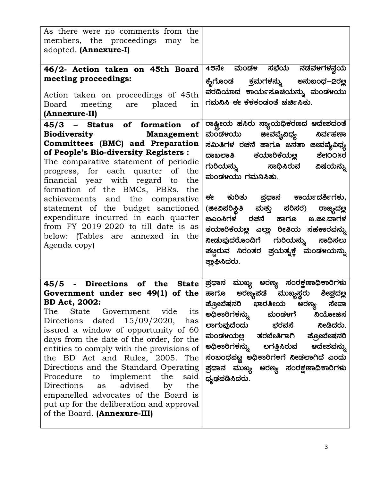| As there were no comments from the                                         |                                               |
|----------------------------------------------------------------------------|-----------------------------------------------|
| members, the proceedings may be                                            |                                               |
|                                                                            |                                               |
| adopted. (Annexure-I)                                                      |                                               |
|                                                                            |                                               |
| 46/2- Action taken on 45th Board                                           | 45ನೇ ಮಂಡಳ ಸಭೆಯ ನಡವಳಗಳನ್ವಯ                     |
| meeting proceedings:                                                       | ಕೈಗೊಂಡ ಕ್ರಮಗಳನ್ನು ಅನುಬಂಧ $-$ 2ರಲ್ಲ            |
| Action taken on proceedings of 45th                                        | ವರದಿಯಾದ ಕಾರ್ಯಸೂಚಿಯನ್ನು ಮಂಡಳಯು                 |
| Board meeting are placed<br>in                                             | ಗಮನಿಸಿ ಈ ಕೆಳಕಂಡಂತೆ ಚರ್ಚಿಸಿತು.                 |
| (Annexure-II)                                                              |                                               |
|                                                                            |                                               |
| 45/3 - Status of formation of                                              | ರಾಷ್ಟ್ರೀಯ ಹಸಿರು ನ್ಯಾಯಧಿಕರಣದ ಆದೇಶದಂತೆ          |
| Biodiversity <b>Management</b>                                             | ಮಂಡ೪ಯು ಜೀವವೈವಿಧ್ಯ<br>ನಿರ್ವಹಣಾ                 |
| Committees (BMC) and Preparation                                           | ಸಮಿತಿಗಳ ರಚನೆ ಹಾಗೂ ಜನತಾ ಜೀವವೈವಿಧ್ಯ             |
| of People's Bio-diversity Registers :                                      | ದಾಖಲಾತಿ ತಯಾರಿಕೆಯಲ್ಲ ಶೇ1೦೦%ರ                   |
| The comparative statement of periodic                                      | ಗುರಿಯನ್ನು  ಸಾಧಿಸಿರುವ ವಿಷಯನ್ನು                 |
| progress, for each quarter of the                                          | ಮಂಡಳಯು ಗಮನಿಸಿತು.                              |
| financial year with regard to the                                          |                                               |
| formation of the BMCs, PBRs, the                                           |                                               |
| achievements and the comparative                                           | ಈ ಕುರಿತು ಪ್ರಧಾನ ಕಾರ್ಯದರ್ಶಿಗಳು,                |
| statement of the budget sanctioned                                         | (ಜೀವಿಪರಿಸ್ಥಿತಿ ಮತ್ತು ಪರಿಸರ) ರಾಜ್ಯದಲ್ಲ         |
| expenditure incurred in each quarter                                       | <u> ಜಿಎಂಸಿಗಳ ರಚನೆ ಹಾಗೂ ಜ.ಜೀ.ದಾಗಳ</u>          |
| from FY 2019-2020 to till date is as                                       |                                               |
| below: (Tables are annexed in the                                          | ತಯಾರಿಕೆಯಲ್ಲ ಎಲ್ಲಾ ರೀತಿಯ ಸಹಕಾರವನ್ನು            |
| Agenda copy)                                                               | <mark>ನೀಡುವುದರೊಂದಿಗೆ ಗುರಿಯನ್ನು ಸಾಧಿಸಲು</mark> |
|                                                                            | ಪಣ್ಣರುವ ನಿರಂತರ ಪ್ರಯತ್ಸಕ್ತೆ ಮಂಡಳಯನ್ನು          |
|                                                                            | ಶ್ಲಾಘಿಸಿದರು.                                  |
|                                                                            |                                               |
| 45/5 - Directions of the State $\mid$ ಪ್ರಧಾನ ಮುಖ್ಯ ಅರಣ್ಯ ಸಂರಕ್ಷಣಾಧಿಕಾರಿಗಳು |                                               |
|                                                                            |                                               |
| Government under sec 49(1) of the                                          | ಹಾಗೂ ಅರಣ್ಯಪಡೆ ಮುಖ್ಯಸ್ಥರು ಶೀಘ್ರದಲ್ಲ            |
| <b>BD Act, 2002:</b>                                                       | ಪ್ರೋಬೆಷನರಿ ಭಾರತೀಯ ಅರಣ್ಯ<br>ಸೇವಾ               |
| State Government<br>The<br>vide<br>its                                     | ಅಧಿಕಾರಿಗಳನ್ನು<br>ಮಂಡ೪ಗೆ<br>ನಿಯೋಜಿಸ            |
| Directions dated $15/09/2020$ ,<br>has                                     | ಲಾಗುವುದೆಂದು ಛರವಸೆ<br>ನೀಡಿದರು.                 |
| issued a window of opportunity of 60                                       | ಮಂಡಳಯಲ್ಲ ತರಬೇತಿಗಾಗಿ ಪ್ರೋಬೇಷನರಿ                |
| days from the date of the order, for the                                   | ಅಧಿಕಾರಿಗಳನ್ನು ಲಗತ್ತಿಸಿರುವ<br>ಆದೇಶವನ್ನು        |
| entities to comply with the provisions of                                  |                                               |
| the BD Act and Rules, 2005. The                                            | ಸಂಬಂಧಪಟ್ಟ ಅಧಿಕಾರಿಗಳಗೆ ನೀಡಲಾಗಿದೆ ಎಂದು          |
| Directions and the Standard Operating                                      | ಪ್ರಧಾನ ಮುಖ್ಯ ಅರಣ್ಯ ಸಂರಕ್ಷಣಾಧಿಕಾರಿಗಳು          |
| implement<br>Procedure<br>the<br>to<br>said                                | ಧೃಢಪಡಿಸಿದರು.                                  |
| advised<br>Directions<br>the<br>by<br>as                                   |                                               |
| empanelled advocates of the Board is                                       |                                               |
| put up for the deliberation and approval                                   |                                               |
| of the Board. (Annexure-III)                                               |                                               |
|                                                                            |                                               |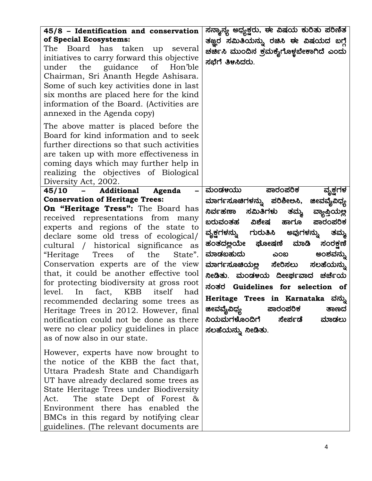| 45/8 - Identification and conservation<br>of Special Ecosystems:<br>The Board has taken up<br>several<br>initiatives to carry forward this objective<br>the guidance<br>of<br>Hon'ble<br>under<br>Chairman, Sri Ananth Hegde Ashisara.<br>Some of such key activities done in last<br>six months are placed here for the kind<br>information of the Board. (Activities are.)<br>annexed in the Agenda copy)                                                                                                                                                                                                                                                                                                                                                 | ಸನ್ಶಾನ್ಯ ಅಧ್ಯಕ್ಷರು, ಈ ವಿಷಯ ಕುರಿತು ಪರಿಣಿತ<br>ತಜ್ಞ್ರರ ಸಮಿತಿಯನ್ನು ರಚಿಸಿ ಈ ವಿಷಯದ ಬಗ್ಗೆ<br>ಚರ್ಚಿಸಿ ಮುಂದಿನ ಕ್ರಮಕೈಗೊಳ್ಳಬೇಕಾಗಿದೆ ಎಂದು<br>ಸಭೆಗೆ ತಿಳಸಿದರು.                                                                                                                                                                                                                                                                                                                                                                                |
|-------------------------------------------------------------------------------------------------------------------------------------------------------------------------------------------------------------------------------------------------------------------------------------------------------------------------------------------------------------------------------------------------------------------------------------------------------------------------------------------------------------------------------------------------------------------------------------------------------------------------------------------------------------------------------------------------------------------------------------------------------------|---------------------------------------------------------------------------------------------------------------------------------------------------------------------------------------------------------------------------------------------------------------------------------------------------------------------------------------------------------------------------------------------------------------------------------------------------------------------------------------------------------------------------------|
| The above matter is placed before the<br>Board for kind information and to seek<br>further directions so that such activities<br>are taken up with more effectiveness in<br>coming days which may further help in<br>realizing the objectives of Biological<br>Diversity Act, 2002.                                                                                                                                                                                                                                                                                                                                                                                                                                                                         |                                                                                                                                                                                                                                                                                                                                                                                                                                                                                                                                 |
| Additional<br><b>45/10</b><br>Agenda<br>-<br>$\sim$ 100 $\mu$<br><b>Conservation of Heritage Trees:</b><br><b>On "Heritage Tress":</b> The Board has<br>received representations from<br>many<br>experts and regions of the state to<br>declare some old tress of ecological/<br>cultural / historical significance<br>as<br>of<br>Trees<br>the<br>"Heritage<br>State".<br>Conservation experts are of the view<br>that, it could be another effective tool<br>for protecting biodiversity at gross root<br>In fact, KBB<br>itself<br>level.<br>had<br>recommended declaring some trees as<br>Heritage Trees in 2012. However, final<br>notification could not be done as there<br>were no clear policy guidelines in place<br>as of now also in our state. | ಮಂಡಳಯು<br>ಪಾರಂಪರಿ <del>ಕ</del><br>ವೃಕ್ಷಗಳ<br>ಮಾರ್ಗಸೂಚಿಗಳನ್ನು ಪರಿಶೀಅಸಿ,<br>ಜೀವವೈವಿಧ್ಯ<br>ನಿರ್ವಹಣಾ<br>ಸಮಿತಿಗಳು ತಮ್ಮ<br>ವ್ಯಾಪ್ತಿಯಲ್ಲ<br>ಬರುವಂತಹ ವಿಶೇಷ<br>ಹಾಗೂ<br>ಪಾರಂಪರಿಕ<br>ವೃಕ್ಷಗಳನ್ನು ಗುರುತಿಸಿ ಅವುಗಳನ್ನು<br>ತಮ್ಮ<br>ಹಂತದಲ್ಲಯೇ ಘೋಷಣೆ ಮಾಡಿ<br>ಸಂರಕ್ಷಣಿ<br>ಮಾಡಬಹುದು<br>ಎಂಬ<br>ಅಂಶವನ್ನು<br>ಮಾರ್ಗಸೂಚಿಯಲ್ಲ ಸೇರಿಸಲು<br>ಸಲಹೆಯನ್ನು<br>ನೀಡಿತು. ಮಂಡಳಯ ದೀೀರ್ಘವಾದ ಚರ್ಚೆಯ<br>ನಂತರ Guidelines for selection of<br>Heritage Trees in Karnataka ವನ್ನು<br>ಪಾರಂಪರಿಕ<br>ಜೀವವೈವಿಧ್ಯ<br>ತಾಣದ<br>ನಿಯಮಗಳೊಂದಿಗೆ<br>ಸೇರ್ಪಡೆ<br>ಮಾಡಲು<br>ಸಲಹೆಯನ್ನು ನೀಡಿತು. |
| However, experts have now brought to<br>the notice of the KBB the fact that,<br>Uttara Pradesh State and Chandigarh<br>UT have already declared some trees as<br>State Heritage Trees under Biodiversity<br>The state Dept of Forest &<br>Act.<br>Environment there has enabled the<br>BMCs in this regard by notifying clear<br>guidelines. (The relevant documents are                                                                                                                                                                                                                                                                                                                                                                                    |                                                                                                                                                                                                                                                                                                                                                                                                                                                                                                                                 |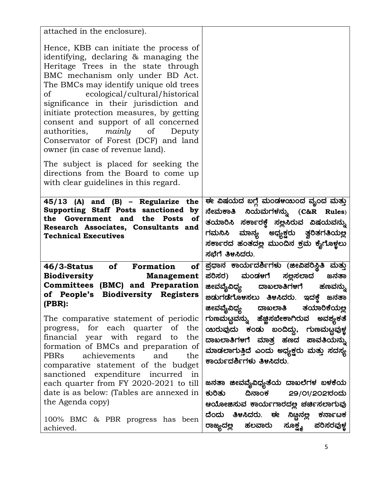| attached in the enclosure).                                                                                                                                                                                                                                                                                                                                                                                                                                                          |                                                                                                                                                                                                                   |
|--------------------------------------------------------------------------------------------------------------------------------------------------------------------------------------------------------------------------------------------------------------------------------------------------------------------------------------------------------------------------------------------------------------------------------------------------------------------------------------|-------------------------------------------------------------------------------------------------------------------------------------------------------------------------------------------------------------------|
| Hence, KBB can initiate the process of<br>identifying, declaring & managing the<br>Heritage Trees in the state through<br>BMC mechanism only under BD Act.<br>The BMCs may identify unique old trees<br>of ecological/cultural/historical<br>significance in their jurisdiction and<br>initiate protection measures, by getting<br>consent and support of all concerned<br>authorities, mainly of Deputy<br>Conservator of Forest (DCF) and land<br>owner (in case of revenue land). |                                                                                                                                                                                                                   |
| The subject is placed for seeking the<br>directions from the Board to come up<br>with clear guidelines in this regard.                                                                                                                                                                                                                                                                                                                                                               |                                                                                                                                                                                                                   |
| $45/13$ (A) and (B) – Regularize the<br>Supporting Staff Posts sanctioned by<br>the Government and the Posts<br><b>of</b><br>Research Associates, Consultants and<br><b>Technical Executives</b>                                                                                                                                                                                                                                                                                     | ಈ ವಿಷಯದ ಬಗ್ಗೆ ಮಂಡಳಯಿಂದ ವೃಂದ ಮತ್ತು<br>ನೇಮಕಾತಿ ನಿಯಮಗಳನ್ನು (C&R Rules)<br>ತಯಾರಿಸಿ ಸರ್ಕಾರಕ್ತೆ ಸಲ್ಲಸಿರುವ ವಿಷಯವನ್ನು<br>ಗಮನಿಸಿ ಮಾನ್ಯ ಅಧ್ಯಕ್ಷರು ತ್ವರಿತಗತಿಯಲ್ಲ<br>ಸರ್ಕಾರದ ಹಂತದಲ್ಲ ಮುಂದಿನ ಕ್ರಮ ಕೈಗೊಳ್ಳಲು<br>ಸಭೆಗೆ ತಿಳಸಿದರು. |
| of Formation<br>of  <br><b>46/3-Status</b><br><b>Biodiversity</b><br><b>Management</b><br>Committees (BMC) and Preparation<br>of People's Biodiversity Registers<br>(PBR):<br>The comparative statement of periodic                                                                                                                                                                                                                                                                  | ಪ್ರಧಾನ ಕಾರ್ಯದರ್ಶಿಗಳು (ಜೀವಿಪರಿಸ್ಥಿತಿ ಮತ್ತು<br>ಪರಿಸರ) ಮಂಡಳಗೆ ಸಲ್ಲಸಲಾದ<br>ಜನತಾ<br>ಜೀವವೈವಿಧ್ಯ<br>ದಾಖಲಾತಿಗಳಗೆ ಹಣವನ್ನು<br>ತಯಾರಿಕೆಯಲ್ಲ<br>ಜೀವವೈವಿಧ್ಯ ದಾಖಲಾತಿ<br>ಗುಣಮಟ್ಟವನ್ನು ಹೆಜ್ಜಿಸಬೇಕಾಗಿರುವ ಅವಶ್ಯಕತೆ                   |
| progress, for each quarter of the<br>financial year with regard to<br>the<br>formation of BMCs and preparation of<br>achievements<br>PBRs<br>and<br>the<br>comparative statement of the budget<br>sanctioned expenditure incurred in                                                                                                                                                                                                                                                 | ಯರುವುದು ಕಂಡು ಬಂದಿದ್ದು, ಗುಣಮಟ್ಟವುಳ್ಣ<br>ದಾಖಲಾತಿಗಳಗೆ ಮಾತ್ರ ಹಣದ ಪಾವತಿಯನ್ನು<br>ಮಾಡಲಾಗುತ್ತಿದೆ ಎಂದು ಅಧ್ಯಕ್ಷರು ಮತ್ತು ಸದಸ್ಯ<br>ಕಾರ್ಯದರ್ಶಿಗಳು ತಿಳಸಿದರು.                                                                    |
| each quarter from FY 2020-2021 to till<br>date is as below: (Tables are annexed in<br>the Agenda copy)<br>100% BMC & PBR progress has been                                                                                                                                                                                                                                                                                                                                           | ಜನತಾ ಜೀವವೈವಿಧ್ಯತೆಯ ದಾಖಲೆಗಳ ಬಳಕೆಯ<br>ಕುರಿತು<br>29/01/2021ರಂದು<br>ದಿನಾಂಕ<br>ಆಯೋಜಿಸುವ ಕಾರ್ಯಗಾರದಲ್ಲ ಚರ್ಚಿಸಲಾಗುವು<br>ದೆಂದು ತಿಳಸಿದರು. ಈ ನಿಟ್ಟನಲ್ಲ<br>ಕರ್ನಾಟಕ                                                            |
| achieved.                                                                                                                                                                                                                                                                                                                                                                                                                                                                            | ಸೂಕ್ಷ್ಮ<br>ಪರಿಸರವುಳ್ಣ<br>ರಾಜ್ಯದಲ್ಲ<br>ಹಲವಾರು                                                                                                                                                                      |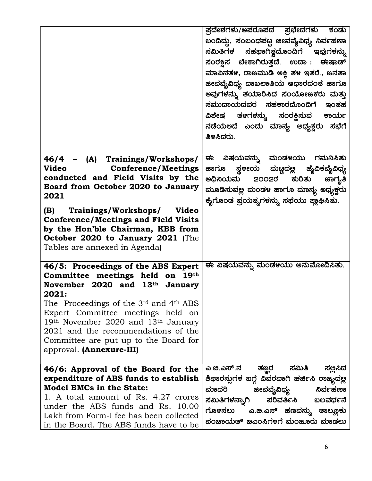|                                                                                                                                                                                                                                                                                                                                                                                             | ಪ್ರದೇಶಗಳು/ಅಪರೂಪದ ಪ್ರಭೇದಗಳು ಕಂಡು<br>ಬಂದಿದ್ದು, ಸಂಬಂಧಪಟ್ಣ ಜೀವವೈವಿಧ್ಯ ನಿರ್ವಹಣಾ<br>ಸಮಿತಿಗಳ ಸಹಭಾಗಿತ್ವದೊಂದಿಗೆ ಇವುಗಳನ್ನು<br>ಸಂರಕ್ಷಿಸ ಬೇಕಾಗಿರುತ್ತದೆ. ಉದಾ: ಈಷಾಡ್<br>ಮಾವಿನತ೪, ರಾಜಮುಡಿ ಅಕ್ತಿ ತ೪ ಇತರೆ., ಜನತಾ<br>ಜೀವವೈವಿಧ್ಯ ದಾಖಲಾತಿಯ ಆಧಾರದಂತೆ ಹಾಗೂ<br>ಅವುಗಳನ್ನು ತಯಾರಿಸಿದ ಸಂಯೋಜಕರು ಮತ್ತು<br>ಸಮುದಾಯದವರ ಸಹಕಾರದೊಂದಿಗೆ ಇಂತಹ<br>ವಿಶೇಷ ತ೪ಗಳನ್ನು ಸಂರಕ್ಷಿಸುವ ಕಾರ್ಯ<br>ನಡೆಯಅದೆ ಎಂದು ಮಾನ್ಯ ಅಧ್ಯಕ್ಷರು ಸಭೆಗೆ<br>ತಿಳಿಸಿದರು. |
|---------------------------------------------------------------------------------------------------------------------------------------------------------------------------------------------------------------------------------------------------------------------------------------------------------------------------------------------------------------------------------------------|-------------------------------------------------------------------------------------------------------------------------------------------------------------------------------------------------------------------------------------------------------------------------------------------------------------------------------------------------------------------------------------------------|
| 46/4 - (A) Trainings/Workshops/<br><b>Video</b><br><b>Conference/Meetings</b><br>conducted and Field Visits by the<br>Board from October 2020 to January<br>2021<br>(B) Trainings/Workshops/ Video<br><b>Conference/Meetings and Field Visits</b><br>by the Hon'ble Chairman, KBB from<br>October 2020 to January 2021 (The                                                                 | ವಿಷಯವನ್ನು ಮಂಡಳಯು ಗಮನಿಸಿತು<br>ਦਵ<br>ಹಾಗೂ ಸ್ಥಳೀಯ ಮಟ್ಟದಲ್ಲ ಜೈವಿಕವೈವಿಧ್ಯ<br>ಅಧಿನಿಯಮ 2೦೦2ರ<br>ಮೂಡಿಸುವಲ್ಲ ಮಂಡಳ ಹಾಗೂ ಮಾನ್ಯ ಅಧ್ಯಕ್ಷರು<br>ಕೈಗೊಂಡ ಪ್ರಯತ್ನಗಳನ್ನು ಸಭೆಯು ಶ್ಲಾಘಿಸಿತು.                                                                                                                                                                                                                         |
| Tables are annexed in Agenda)<br>46/5: Proceedings of the ABS Expert<br>Committee meetings held on 19th<br>November 2020 and 13th<br>January<br>2021:<br>The Proceedings of the $3rd$ and $4th$ ABS<br>Expert Committee meetings held on<br>19th November 2020 and 13th January<br>2021 and the recommendations of the<br>Committee are put up to the Board for<br>approval. (Annexure-III) | ಈ ವಿಷಯವನ್ನು ಮಂಡಳಯು ಅನುಮೋದಿಸಿತು.                                                                                                                                                                                                                                                                                                                                                                 |
| 46/6: Approval of the Board for the<br>expenditure of ABS funds to establish<br><b>Model BMCs in the State:</b><br>1. A total amount of Rs. 4.27 crores<br>under the ABS funds and Rs. 10.00<br>Lakh from Form-I fee has been collected<br>in the Board. The ABS funds have to be                                                                                                           | ಎ.ೞ.ಎಸ್.ನ<br>ಸಮಿತಿ<br>ತಜ್ಞರ<br>ಸಲ್ಲಿಸಿದ<br>ಶಿಫಾರಸ್ಪುಗಳ ಬಗ್ಗೆ ವಿವರವಾಗಿ ಚರ್ಚಿಸಿ ರಾಜ್ಯದಲ್ಲ<br>ಮಾದರಿ<br>ನಿರ್ವಹಣಾ<br>ಜೀವವೈವಿಧ್ಯ<br>ಪರಿವರ್ತಿಸಿ<br>ಸಮಿತಿಗಳನ್ನಾಗಿ<br>ಬಲವರ್ಧನೆ<br>ಗೊಳಸಲು<br>ಎ.ಙ.ಎಸ್ ಹಣವನ್ನು ತಾಲ್ಲೂಕು<br>ಪಂಚಾಯತ್ ಜಿಎಂಸಿಗಳಗೆ ಮಂಜೂರು ಮಾಡಲು                                                                                                                                                  |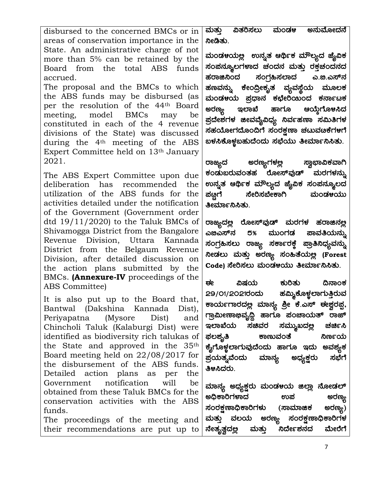disbursed to the concerned BMCs or in areas of conservation importance in the State. An administrative charge of not more than 5% can be retained by the Board from the total ABS funds accrued. The proposal and the BMCs to which the ABS funds may be disbursed (as per the resolution of the 44th Board meeting, model BMCs may be constituted in each of the 4 revenue divisions of the State) was discussed during the 4<sup>th</sup> meeting of the ABS Expert Committee held on 13th January 2021.

The ABS Expert Committee upon due deliberation has recommended the utilization of the ABS funds for the activities detailed under the notification of the Government (Government order dtd  $19/11/2020$  to the Taluk BMCs of Shivamogga District from the Bangalore Revenue Division, Uttara Kannada District from the Belgaum Revenue Division, after detailed discussion on the action plans submitted by the BMCs. (Annexure-IV proceedings of the ABS Committee)

It is also put up to the Board that, Bantwal (Dakshina Kannada Dist), Periyapatna (Mysore Dist) and Chincholi Taluk (Kalaburgi Dist) were identified as biodiversity rich talukas of the State and approved in the 35th Board meeting held on 22/08/2017 for the disbursement of the ABS funds. Detailed action plans as per the Government notification will be obtained from these Taluk BMCs for the conservation activities with the ABS funds.

The proceedings of the meeting and their recommendations are put up to

<u>ಮತ್ತು ವಿತರಿಸಲು ಮಂಡಳ ಅನುಮೋದನೆ</u> ನೀಡಿತು.

ಮಂಡಳಯಲ್ಲ ಉನ್ನತ ಆರ್ಥಿಕ ಮೌಲ್ಯದ ಜೈವಿಕ ಸಂಪನ್ಶೂಲಗಳಾದ ಚಂದನ ಮತ್ತು ರಕ್ತಚಂದನದ ಹರಾಜಿನಿಂದ ಸಂಗ್ರಹಿಸಲಾದ ಎ.ಐ.ಎಸ್ನ್ ಹಣವನ್ನು ಕೇಂದ್ರೀಕೃತ ವ್ಯವಸ್ಥೆಯ ಮೂಲಕ ಮಂಡ೪ಯ ಪ್ರಧಾನ ಕಛೇರಿಯಂದ ಕರ್ನಾಟಕ<br>ಅರಣ್ಯ ಇಲಾಖೆ ಹಾಗೂ ಆಯ್ತೆಗೊ೪ಸಿದ **ಆಯ್ತೆಗೊ**ಳಸಿದ ಪ್ರದೇಶಗಳ ಜೀವವೈವಿಧ್ಯ ನಿರ್ವಹಣಾ ಸಮಿತಿಗಳ ಸಹಯೋಗದೊಂದಿಗೆ ಸಂರಕ್ಷಣಾ ಚಟುವಟಕೆಗಳಗೆ ಖಳಸಿಕೊಳ್ಳಬಹುದೆಂದು ಸಭೆಯು ತೀರ್ಮಾನಿಸಿತು.

ರಾಜ್ಯದ ಅರಣ್ಯಗಳಲ್ಲ ಸ್ವಾಭಾವಿಕವಾಗಿ ಕಂಡುಬರುವಂತಹ ರೋಸ್**ವುಡ್ ಮರಗ**ಳನ್ನು ಉನ್ನತ ಆರ್ಥಿಕ ಮೌಲ್ಯದ <mark>ಪೈವಿಕ ಸಂಪನ್</mark>ಮೂಲದ<br>ಪಟ್ಟಗೆ ಸೇರಿಸಬೇಕಾಗಿ ಮಂಡಳಯು ಸೇರಿಸಬೇಕಾಗಿ ಮಂಡಳಯು ತೀರ್ಮಾನಿಸಿತು.

ರಾಜ್ಯದ<u>ಲ್ಲ</u> ರೋಸ್**ವುಡ್ ಮರಗಳ ಹರಾ**ಜಿನ<u>ಲ</u>್ಲ ಎಙಎಸ್ನ್ ರ% ಮುಂಗಡ ಪಾವತಿಯನ್ನು ಸಂಗ್ರಹಿಸಲು ರಾಜ್ಯ ಸರ್ಕಾರಕ್ತೆ ಪ್ರಾತಿನಿಧ್ಯವನ್ನು ಸೀಡಲು ಮತ್ತು ಅರಣ್ಯ ಸಂಹಿತೆಯಲ್ಲಿ (Forest Code) ಸೇರಿಸಲು ಮಂಡಳಯು ತೀರ್ಮಾನಿಸಿತು.

ಈ ವಿಷಯ ಕುರಿತು ದಿನಾಂಕ 29/01/2021ರಂದು ಹಮ್ಡಿಕೊಳ್ಣಲಾಗುತ್ತಿರುವ ಕಾರ್ಯಗಾರದಲ್ಲ ಮಾನ್ಯ ಶ್ರೀ ಕೆ.ಎಸ್ ಈ<u>ಶ್ವ</u>ರಪ್ಪ, ಗ್ರಾಮೀಣಾಭಿವೃದ್ಧಿ ಹಾಗೂ ಪಂಚಾಯತ್ ರಾಜ್ ಇಲಾಖೆಯ ಸಚಿವರ ಸಮ್ಮುಖದಲ್ಲ ಚರ್ಚಿಸಿ ¥sÀ®±ÀÈw PÁtĪÀAvÉ ¤tðAiÀÄ ಕೈಗೊಳ್ಣಲಾಗುವುದೆಂದು ಹಾಗೂ ಇದು ಅವಶ್ಯಕ <mark>ಪ್ರಯತ್ಸವೆಂದು ಮಾನ್</mark>ಯ ಅಧ್ಯಕ್ಷರು ಸಭೆಗೆ ತಿಳಿಸಿದರು.

ಮಾನ್ಯ ಅಧ್ಯಕ್ಷರು ಮಂಡಳಯ ಜಿಲ್ಲಾ ನೋಡಲ್<br>ಅಧಿಕಾರಿಗಳಾದ ಅಧಿಕಾರಿಗಳಾದ ಉಪ<br>ಸಂರ<u>ಕ</u>಼ಣಾಧಿಕಾರಿಗಳು (ಸಾಮಾಜಿಕ ಅರಣ್ಯ) ಸಂರಕ್ಷಣಾಧಿಕಾರಿಗಳು (ಸಾಮಾಜಿಕ<br>ಮತ್ತು ವಲಯ ಅರಣ್ಯ ಸಂರಕ್ಷಣ ಮತ್ತು ವಲಯ ಅರಣ್ಯ ಸಂರಕ್ಷಣಾಧಿಕಾರಿಗಳ <u>ನೇತೃತ್</u>ವದಲ್ಲ ಮತ್ತು ನಿರ್ದೇಶನದ ಮೇರೆಗೆ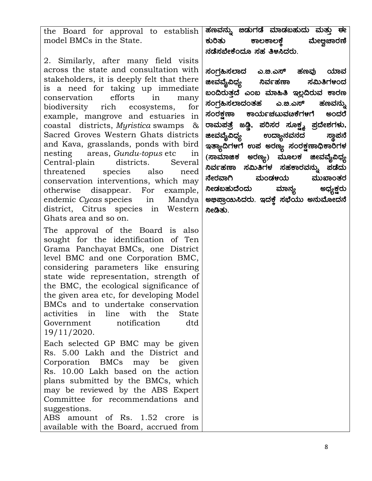the Board for approval to establish model BMCs in the State. ಹಣವನ್ನು **ಙಡುಗಡೆ ಮಾಡ**ಬಹುದು ಮತ್ತು ಈ ಕುರಿತು ಕಾಲಕಾಲಕೆ ಮೇಅ್ತಚಾರಣಿ

2. Similarly, after many field visits across the state and consultation with stakeholders, it is deeply felt that there is a need for taking up immediate conservation efforts in many biodiversity rich ecosystems, for example, mangrove and estuaries in coastal districts, Myristica swamps & Sacred Groves Western Ghats districts and Kava, grasslands, ponds with bird nesting areas, Gundu-topus etc in Central-plain districts. Several threatened species also need conservation interventions, which may otherwise disappear. For example, endemic Cycas species in Mandya district, Citrus species in Western Ghats area and so on.

The approval of the Board is also sought for the identification of Ten Grama Panchayat BMCs, one District level BMC and one Corporation BMC, considering parameters like ensuring state wide representation, strength of the BMC, the ecological significance of the given area etc, for developing Model BMCs and to undertake conservation activities in line with the State Government notification dtd 19/11/2020.

Each selected GP BMC may be given Rs. 5.00 Lakh and the District and Corporation BMCs may be given Rs. 10.00 Lakh based on the action plans submitted by the BMCs, which may be reviewed by the ABS Expert Committee for recommendations and suggestions.

ABS amount of Rs. 1.52 crore is available with the Board, accrued from ನಡೆಸಬೇಕೆಂದೂ ಸಹ ತಿಳಿಸಿದರು.

ಸಂಗ್ರಹಿಸಲಾದ ಎ.ಐ.ಎಸ್ ಹಣವು ಯಾವ **ಜೀವವ್ಯೆವಿಧ್ಯ ನಿರ್ವಹಣಾ ಸಮಿತಿಗ**ಳಂದ ಖಂದಿರುತ್ತದೆ ಎಂಬ ಮಾಹಿತಿ ಇ<u>ಲ್</u>ಲದಿರುವ ಕಾರಣ ಸಂಗ್ರಹಿಸಲಾದಂತಹ ಎ.ಜಿ.ಎಸ್ ಹಣವನ್ನು<br>ಸಂರಕ್ಷಣಾ ಕಾರ್ಯಚಟುವಟಕೆಗಳಗೆ ಅಂದರೆ ಕಾರ್ಯಚಟುವಟಕೆಗಳಗೆ ಅಂದರೆ ರಾಮಪತ್ರೆ ಜಡ್ಡಿ, ಪರಿಸರ ಸೂಕ್ಷ್ಮ ಪ್ರದೇಶಗಳು,<br>ಜೀವವ್ಯೆವಿಧ್ಯ ಉದ್ಯಾನವನದ ಸ್ಥಾಪನೆ ಉದ್ಯಾನವನದ ಸ್ಥಾಪನೆ ಇತ್ಯಾದಿಗಳಗೆ ಉಪ ಅರಣ್ಯ ಸಂರಕ್ಷಣಾಧಿಕಾರಿಗಳ (ಸಾಮಾಜಿಕ ಅರಣ್ಯ) ಮೂಲಕ ಜೀವವೈವಿಧ್ಯ ಸಿರ್ವಹಣಾ ಸಮಿತಿಗಳ ಸಹಕಾರವನ್ನು ಪಡೆದು ನೇರವಾಗಿ ಮಂಡಳಯ ಮುಖಾಂತರ ನೀಡಬಹುದೆಂದು ಮಾನ್ಯ ಅಧ್ಯಕ್ಷರು $\displaystyle\Big\vert$ ಅಭಿಪ್ರಾಯಿಸಿದರು. ಇದಕ್ಕೆ ಸಭೆಯು ಅನುಮೋದನೆ ¦ ನೀಡಿತು.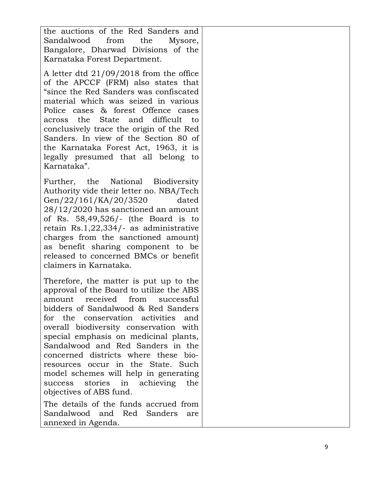the auctions of the Red Sanders and Sandalwood from the Mysore, Bangalore, Dharwad Divisions of the Karnataka Forest Department.

A letter dtd 21/09/2018 from the office of the APCCF (FRM) also states that "since the Red Sanders was confiscated material which was seized in various Police cases & forest Offence cases across the State and difficult to conclusively trace the origin of the Red Sanders. In view of the Section 80 of the Karnataka Forest Act, 1963, it is legally presumed that all belong to Karnataka".

Further, the National Biodiversity Authority vide their letter no. NBA/Tech Gen/22/161/KA/20/3520 dated 28/12/2020 has sanctioned an amount of Rs. 58,49,526/- (the Board is to retain Rs.1,22,334/- as administrative charges from the sanctioned amount) as benefit sharing component to be released to concerned BMCs or benefit claimers in Karnataka.

Therefore, the matter is put up to the approval of the Board to utilize the ABS amount received from successful bidders of Sandalwood & Red Sanders for the conservation activities and overall biodiversity conservation with special emphasis on medicinal plants, Sandalwood and Red Sanders in the concerned districts where these bioresources occur in the State. Such model schemes will help in generating success stories in achieving the objectives of ABS fund.

The details of the funds accrued from Sandalwood and Red Sanders are annexed in Agenda.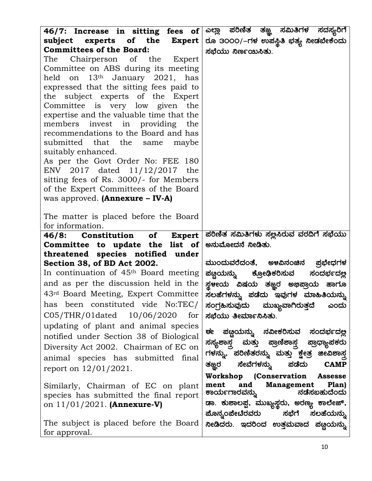| 46/7: Increase in sitting fees of                                                                                                                                                                                                                                                                                                                                                                                                                                                                                                                                                                            | ಎಲ್ಲಾ ಪರಿಣಿತ<br>ತಜ್ಞ<br>ಸಮಿತಿಗಳ<br>ಸದಸ್ಯರಿಗೆ                                                                 |
|--------------------------------------------------------------------------------------------------------------------------------------------------------------------------------------------------------------------------------------------------------------------------------------------------------------------------------------------------------------------------------------------------------------------------------------------------------------------------------------------------------------------------------------------------------------------------------------------------------------|--------------------------------------------------------------------------------------------------------------|
| subject experts of the Expert                                                                                                                                                                                                                                                                                                                                                                                                                                                                                                                                                                                | ರೂ 3೦೦೦/–ಗಳ ಉಪಸ್ಥಿತಿ ಭತ್ಯ ನೀಡಬೇಕೆಂದು                                                                         |
| <b>Committees of the Board:</b><br>The Chairperson of the Expert<br>Committee on ABS during its meeting<br>held on 13th January 2021, has<br>expressed that the sitting fees paid to<br>subject experts of the Expert<br>the<br>Committee is very low given the<br>expertise and the valuable time that the<br>invest in providing the<br>members<br>recommendations to the Board and has<br>submitted that the same<br>maybe<br>suitably enhanced.<br>As per the Govt Order No: FEE 180<br>ENV 2017 dated 11/12/2017 the<br>sitting fees of Rs. 3000/- for Members<br>of the Expert Committees of the Board | ಸಭೆಯು ನಿರ್ಣಯಿಸಿತು.                                                                                           |
| was approved. $(Annexure - IV-A)$                                                                                                                                                                                                                                                                                                                                                                                                                                                                                                                                                                            |                                                                                                              |
| The matter is placed before the Board<br>for information.                                                                                                                                                                                                                                                                                                                                                                                                                                                                                                                                                    |                                                                                                              |
| 46/8: Constitution of<br><b>Expert</b>                                                                                                                                                                                                                                                                                                                                                                                                                                                                                                                                                                       | ಪರಿಣಿತ ಸಮಿತಿಗಳು ಸಲ್ಲಸಿರುವ ವರದಿಗೆ ಸಭೆಯು                                                                       |
| Committee to update the list of                                                                                                                                                                                                                                                                                                                                                                                                                                                                                                                                                                              | ಅನುಮೋದನೆ ನೀಡಿತು.                                                                                             |
| threatened species notified under                                                                                                                                                                                                                                                                                                                                                                                                                                                                                                                                                                            |                                                                                                              |
| Section 38, of BD Act 2002.                                                                                                                                                                                                                                                                                                                                                                                                                                                                                                                                                                                  | ಮುಂದುವರೆದಂತೆ, ಅಳವಿನಂಚಿನ ಪ್ರಭೇಧಗಳ                                                                             |
| In continuation of 45 <sup>th</sup> Board meeting                                                                                                                                                                                                                                                                                                                                                                                                                                                                                                                                                            | ಪಣ್ಣಯನ್ನು ಕ್ರೋಢಿಕರಿಸುವ<br>ಸಂದರ್ಭದಲ್ಲ                                                                         |
| and as per the discussion held in the                                                                                                                                                                                                                                                                                                                                                                                                                                                                                                                                                                        | ಸ್ಥಳೕಯ ವಿಷಯ ತಜ್ಞ್ರರ ಅಭಿಪ್ರಾಯ ಹಾಗೂ                                                                            |
| 43rd Board Meeting, Expert Committee                                                                                                                                                                                                                                                                                                                                                                                                                                                                                                                                                                         | ಸಲಹೆಗಳನ್ನು ಪಡೆದು ಇವುಗಳ ಮಾಹಿತಿಯನ್ನು                                                                           |
| has been constituted vide No:TEC/                                                                                                                                                                                                                                                                                                                                                                                                                                                                                                                                                                            | ಸಂಗ್ರಹಿಸುವುದು ಮುಖ್ಯವಾಗಿರುತ್ತದೆ<br>ಎಂದು                                                                       |
| C05/THR/01dated 10/06/2020<br>for                                                                                                                                                                                                                                                                                                                                                                                                                                                                                                                                                                            | ಸಭೆಯು ತೀರ್ಮಾನಿಸಿತು.                                                                                          |
| updating of plant and animal species                                                                                                                                                                                                                                                                                                                                                                                                                                                                                                                                                                         | ਦਵ                                                                                                           |
| notified under Section 38 of Biological                                                                                                                                                                                                                                                                                                                                                                                                                                                                                                                                                                      | ಪಣ್ಣಯನ್ನು ನವೀಕರಿಸುವ ಸಂದರ್ಭದಲ್ಲ                                                                               |
| Diversity Act 2002. Chairman of EC on                                                                                                                                                                                                                                                                                                                                                                                                                                                                                                                                                                        | ಸಸ್ಯಶಾಸ್ತ್ರ ಮತ್ತು ಪ್ರಾಣಿಶಾಸ್ತ್ರ ಪ್ರಾಧ್ಯಾಪಕರು                                                                 |
| animal species has submitted final                                                                                                                                                                                                                                                                                                                                                                                                                                                                                                                                                                           | ಗಳನ್ನು, ಪರಿಣಿತರನ್ನು ಮತ್ತು ಕ್ಷೇತ್ರ ಜೀವಿಶಾಸ್ತ                                                                  |
| report on $12/01/2021$ .                                                                                                                                                                                                                                                                                                                                                                                                                                                                                                                                                                                     | ಸೇವೆಗಳನ್ನು<br>ಪಡೆದು<br>ತಜ್ಞರ<br><b>CAMP</b>                                                                  |
| Similarly, Chairman of EC on plant<br>species has submitted the final report                                                                                                                                                                                                                                                                                                                                                                                                                                                                                                                                 | Workshop (Conservation Assesse<br><b>Management</b><br>and<br>Plan)<br>ment<br>ನಡೆಸಬಹುದೆಂದು<br>ಕಾರ್ಯಗಾರವನ್ನು |
| on $11/01/2021$ . (Annexure-V)                                                                                                                                                                                                                                                                                                                                                                                                                                                                                                                                                                               | ಡಾ. ಕುಶಾಲಪ್ಪ, ಮುಖ್ಯಸ್ಥರು, ಅರಣ್ಯ ಕಾಲೇಜ್,                                                                      |
|                                                                                                                                                                                                                                                                                                                                                                                                                                                                                                                                                                                                              | ಪೊನ್ನಂಪೇಟೆರವರು ಸಭೆಗೆ ಸಲಹೆಯನ್ನು                                                                               |
| The subject is placed before the Board                                                                                                                                                                                                                                                                                                                                                                                                                                                                                                                                                                       | ನೀಡಿದರು. ಇದರಿಂದ ಉತ್ತಮವಾದ ಪಟ್ಟಯನ್ನು                                                                           |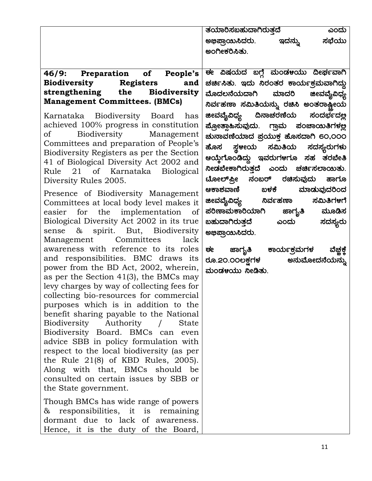|                                                                                | ತಯಾರಿಸಬಹುದಾಗಿರುತ್ತದೆ<br>ಎಂದು            |
|--------------------------------------------------------------------------------|-----------------------------------------|
|                                                                                | ಸಭೆಯು<br>ಅಭಿಪ್ರಾಯಿಸಿದರು.<br>ಇದನ್ನು      |
|                                                                                | ಅಂಗೀ <del>ಕ</del> ರಿಸಿತು.               |
|                                                                                |                                         |
| 46/9: Preparation of People's                                                  | ಈ ವಿಷಯದ ಬಗ್ಗೆ ಮಂಡಳಯು ದೀರ್ಘವಾಗಿ          |
| <b>Biodiversity Registers</b><br>and                                           | ಚರ್ಚಿಸಿತು. ಇದು ನಿರಂತರ ಕಾರ್ಯಕ್ರಮವಾಗಿದ್ದು |
| strengthening the Biodiversity                                                 | ಮೊದಲನೆಯದಾಗಿ ಮಾದರಿ ಜೀವವೈವಿಧ್ಯ            |
| <b>Management Committees. (BMCs)</b>                                           | ನಿರ್ವಹಣಾ ಸಮಿತಿಯನ್ನು ರಚಿಸಿ ಅಂತರಾಷ್ಟೀಯ    |
| Karnataka Biodiversity Board has                                               | ಜೀವವೈವಿಧ್ಯ ದಿನಾಚರಣೆಯ ಸಂದರ್ಭದಲ್ಲ         |
| achieved 100% progress in constitution                                         | ಪ್ರೋತ್ಸಾಹಿಸುವುದು. ಗ್ರಾಮ ಪಂಚಾಯಿತಿಗಳಲ್ಲ   |
| Biodiversity Management<br>$\sigma$ of                                         | ಚುನಾವಣೆಯಾದ ಪ್ರಯುಕ್ತ ಹೊಸದಾಗಿ 60,000      |
| Committees and preparation of People's                                         | ಹೊಸ ಸ್ಥಳೀಯ ಸಮಿತಿಯ ಸದಸ್ಯರುಗಳು            |
| Biodiversity Registers as per the Section                                      |                                         |
| 41 of Biological Diversity Act 2002 and                                        | ಆಯ್ತೆಗೊಂಡಿದ್ದು ಇವರುಗಳಗೂ ಸಹ ತರಬೇತಿ       |
| Rule 21 of Karnataka Biological                                                | ನೀಡಬೇಕಾಗಿರುತ್ತದೆ ಎಂದು ಚರ್ಚಿಸಲಾಯಿತು.     |
| Diversity Rules 2005.                                                          | ಟೋಲ್ಫ಼ೋ ನಂಬರ್ ರಚಿಸುವುದು ಹಾಗೂ            |
| Presence of Biodiversity Management                                            | ಆಕಾಶವಾಣಿ ಬಳಕೆ ಮಾಡುವುದರಿಂದ               |
| Committees at local body level makes it                                        | <b>ಜೀವವೈವಿಧ್ಯ</b> ನಿರ್ವಹಣಾ ಸಮಿತಿಗಳಗೆ    |
| easier for the implementation of                                               | ಪರಿಣಾಮಕಾರಿಯಾಗಿ ಜಾಗೃತಿ ಮೂಡಿಸ             |
| Biological Diversity Act 2002 in its true<br>sense & spirit. But, Biodiversity | ಬಹುದಾಗಿರುತ್ತದೆ ಎಂದು<br>ಸದಸ್ಯರು          |
| Management Committees<br>lack                                                  | ಅಭಿಪ್ರಾಯಿಸಿದರು.                         |
| awareness with reference to its roles                                          | ಈ ಜಾಗೃತಿ ಕಾರ್ಯಕ್ರಮಗಳ<br>ವೆಜ್ಞಕ್ತೆ       |
| and responsibilities. BMC draws its                                            | ರೂ.2೦.೦೦ಲಕ್ಷಗಳ ಅನುಮೋದನೆಯನ್ನು            |
| power from the BD Act, 2002, wherein,                                          | ಮಂಡಳಯು ನೀಡಿತು.                          |
| as per the Section $41(3)$ , the BMCs may                                      |                                         |
| levy charges by way of collecting fees for                                     |                                         |
| collecting bio-resources for commercial                                        |                                         |
| purposes which is in addition to the                                           |                                         |
| benefit sharing payable to the National<br>Biodiversity                        |                                         |
| Authority<br><b>State</b><br>$\sqrt{2}$<br>Biodiversity Board. BMCs can even   |                                         |
| advice SBB in policy formulation with                                          |                                         |
| respect to the local biodiversity (as per                                      |                                         |
| the Rule $21(8)$ of KBD Rules, 2005).                                          |                                         |
| Along with that, BMCs should be                                                |                                         |
| consulted on certain issues by SBB or                                          |                                         |
| the State government.                                                          |                                         |
| Though BMCs has wide range of powers                                           |                                         |
| & responsibilities, it is remaining                                            |                                         |
| dormant due to lack of awareness.                                              |                                         |
| Hence, it is the duty of the Board,                                            |                                         |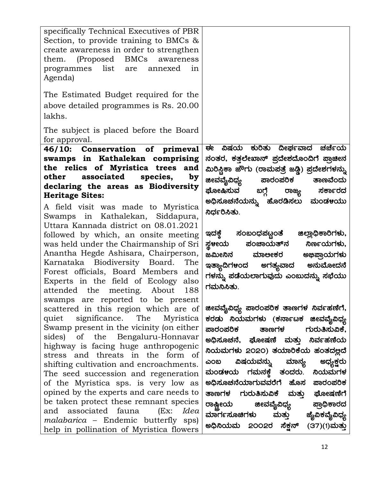| specifically Technical Executives of PBR<br>Section, to provide training to BMCs $\&$<br>create awareness in order to strengthen<br>them. (Proposed BMCs<br>awareness<br>programmes list are annexed<br>in<br>Agenda)<br>The Estimated Budget required for the<br>above detailed programmes is Rs. 20.00<br>lakhs.<br>The subject is placed before the Board |                                                                                                                                                                                                  |
|--------------------------------------------------------------------------------------------------------------------------------------------------------------------------------------------------------------------------------------------------------------------------------------------------------------------------------------------------------------|--------------------------------------------------------------------------------------------------------------------------------------------------------------------------------------------------|
| for approval.<br>46/10: Conservation of primeval<br>swamps in Kathalekan comprising                                                                                                                                                                                                                                                                          | ವಿಷಯ ಕುರಿತು ದೀರ್ಘವಾದ ಚರ್ಚೆಯ<br>ਦਵ<br>ನಂತರ, ಕತ್ತಲೇಖಾನ್ ಪ್ರದೇಶದೊಂದಿಗೆ ಪ್ರಾಚೀನ                                                                                                                      |
| the relics of Myristica trees and<br>associated<br>species,<br>other<br>by<br>declaring the areas as Biodiversity<br><b>Heritage Sites:</b><br>A field visit was made to Myristica<br>Swamps in Kathalekan, Siddapura,<br>Uttara Kannada district on 08.01.2021                                                                                              | ಮಿರಿಸ್ಷಿಕಾ ಜೌಗು (ರಾಮಪತ್ರೆ ಜಡ್ಡಿ) ಪ್ರದೇಶಗಳನ್ನು<br>ಜೀವವೈವಿಧ್ಯ<br>ಪಾರಂಪರಿಕ ತಾಣವೆಂದು<br>ಘೋಷಿಸುವ<br>ಸರ್ಕಾರದ<br>ಬಗ್ಗೆ<br>ರಾಜ್ಯ<br>ಅಧಿಸೂಚನೆಯನ್ನು ಹೊರಡಿಸಲು ಮಂಡಳಯು<br>ನಿರ್ಧರಿಸಿತು.                        |
| followed by which, an onsite meeting<br>was held under the Chairmanship of Sri<br>Anantha Hegde Ashisara, Chairperson,<br>Karnataka Biodiversity Board.<br>The<br>Forest officials, Board Members and<br>Experts in the field of Ecology<br>also<br>attended the meeting. About<br>188<br>swamps are reported to be present                                  | ಇದಕ್ಕೆ ಸಂಬಂಧಪಟ್ಟಂತೆ<br>ಜಿಲ್ಲಾಧಿಕಾರಿಗಳು,<br>ಪಂಚಾಯತ್ನ<br>ನಿರ್ಣಯಗಳು,<br>ಸ್ಥಳೕಯ<br>ಜಮೀನಿನ<br>ಮಾಲೕಕರ ಅಭಿಪ್ರಾಯಗಳು<br>ಇತ್ಯಾದಿಗಳಂದ ಅಗತ್ಯವಾದ ಅನುಮೋದನೆ<br>ಗಳನ್ನು ಪಡೆಯಲಾಗುವುದು ಎಂಬುದನ್ನು ಸಭೆಯು<br>ಗಮನಿಸಿತು. |
| scattered in this region which are of<br>quiet significance. The Myristica<br>Swamp present in the vicinity (on either<br>sides) of the Bengaluru-Honnavar<br>highway is facing huge anthropogenic                                                                                                                                                           | ಜೀವವೈವಿಧ್ಯ ಪಾರಂಪರಿಕ ತಾಣಗಳ ನಿರ್ವಹಣೆಗೆ,<br>ಕರಡು ನಿಯಮಗಳು (ಕರ್ನಾಟಕ ಜೀವವೈವಿಧ್ಯ<br>ಪಾರಂಪರಿಕ ತಾಣಗಳ ಗುರುತಿಸುವಿಕೆ,<br>ಅಧಿಸೂಚನೆ, ಘೋಷಣೆ ಮತ್ತು ನಿರ್ವಹಣೆಯ                                                     |
| stress and threats in the form of<br>shifting cultivation and encroachments.<br>The seed succession and regeneration<br>of the Myristica sps. is very low as                                                                                                                                                                                                 | ನಿಯಮಗಳು 2020) ತಯಾರಿಕೆಯ ಹಂತದಲ್ಲದೆ<br>ಎಂಬ ವಿಷಯವನ್ನು ಮಾನ್ <mark>ಯ</mark> ಅಧ್ಯ <del>್ಷ</del> ಕ್ಷರು<br>ಮಂಡ೪ಯ ಗಮನ <del>ಕ್</del> ಕೆ ತಂದರು. ನಿಯಮಗಳ<br>ಅಧಿಸೂಚನೆಯಾಗುವವರೆಗೆ ಹೊಸ ಪಾರಂಪರಿಕ                    |
| opined by the experts and care needs to<br>be taken protect these remnant species<br>and associated fauna<br>(EX)<br>Idea<br><i>malabarica</i> – Endemic butterfly sps)<br>help in pollination of Myristica flowers                                                                                                                                          | ತಾಣಗಳ ಗುರುತಿಸುವಿಕೆ ಮತ್ತು ಘೋಷಣೆಗೆ<br>ರಾಷ್ಟ್ರೀಯ ಜೀವವೈವಿಧ್ಯ ಪ್ರಾಧಿಕಾರದ<br>ಮಾರ್ಗಸೂಚಿಗಳು ಮತ್ತು ಜೈವಿಕವೈವಿಧ್ಯ<br>ಅಧಿನಿಯಮ 2೦೦2ರ ಸೆಕ್ಷನ್ (37)(1)ಮತ್ತು                                                     |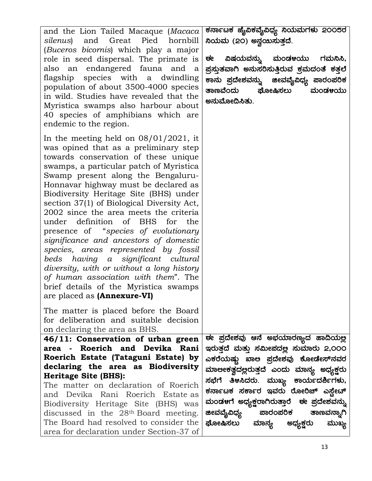| and the Lion Tailed Macaque (Macaca<br>silenus) and Great<br>Pied hornbill                                                                                                                                                                                                                                                                                                                                                                                                                                                                                                                                                                                                                                                                                       | ಕರ್ನಾಟಕ ಜೈವಿಕವೈವಿಧ್ಯ ನಿಯಮಗಳು 2೦೦5ರ<br>ನಿಯಮ (20) ಅನ್ವಯಿಸುತ್ತದೆ.                                                                                                           |
|------------------------------------------------------------------------------------------------------------------------------------------------------------------------------------------------------------------------------------------------------------------------------------------------------------------------------------------------------------------------------------------------------------------------------------------------------------------------------------------------------------------------------------------------------------------------------------------------------------------------------------------------------------------------------------------------------------------------------------------------------------------|--------------------------------------------------------------------------------------------------------------------------------------------------------------------------|
| ( <i>Buceros bicornis</i> ) which play a major<br>role in seed dispersal. The primate is<br>also an endangered fauna and a<br>flagship species with a dwindling<br>population of about 3500-4000 species<br>in wild. Studies have revealed that the<br>Myristica swamps also harbour about<br>40 species of amphibians which are<br>endemic to the region.                                                                                                                                                                                                                                                                                                                                                                                                       | ವಿಷಯವನ್ನು ಮಂಡಳಯು ಗಮನಿಸಿ,<br>ਦ¢<br>ಪ್ರಸ್ತುತವಾಗಿ ಅನುಸರಿಸುತ್ತಿರುವ ಕ್ರಮದಂತೆ ಕತ್ತಲೆ<br>ಕಾನು ಪ್ರದೇಶವನ್ನು  ಜೀವವೈವಿಧ್ಯ ಪಾರಂಪರಿಕ<br>ತಾಣವೆಂದು<br>ಘೋಷಿಸಲು<br>ಮಂಡಳಯು<br>ಅನುಮೋದಿಸಿತು. |
| In the meeting held on $08/01/2021$ , it<br>was opined that as a preliminary step<br>towards conservation of these unique<br>swamps, a particular patch of Myristica<br>Swamp present along the Bengaluru-<br>Honnavar highway must be declared as<br>Biodiversity Heritage Site (BHS) under<br>section 37(1) of Biological Diversity Act,<br>2002 since the area meets the criteria<br>under definition of BHS for<br>the<br>presence of "species of evolutionary<br>significance and ancestors of domestic<br>species, areas represented by fossil<br>beds having a significant cultural<br>diversity, with or without a long history<br>of human association with them". The<br>brief details of the Myristica swamps<br>are placed as ( <b>Annexure-VI</b> ) |                                                                                                                                                                          |
| The matter is placed before the Board<br>for deliberation and suitable decision<br>on declaring the area as BHS.                                                                                                                                                                                                                                                                                                                                                                                                                                                                                                                                                                                                                                                 |                                                                                                                                                                          |
| 46/11: Conservation of urban green                                                                                                                                                                                                                                                                                                                                                                                                                                                                                                                                                                                                                                                                                                                               | ಈ ಪ್ರದೇಶವು ಆನೆ ಅಭಯಾರಣ್ಯದ ಹಾದಿಯಲ್ಲ                                                                                                                                        |
| area - Roerich and Devika Rani<br>Roerich Estate (Tataguni Estate) by                                                                                                                                                                                                                                                                                                                                                                                                                                                                                                                                                                                                                                                                                            | ಇರುತ್ತದೆ ಮತ್ತು ಸಮೀಪದಲ್ಲ ಸುಮಾರು 2,೦೦೦                                                                                                                                     |
| declaring the area as Biodiversity                                                                                                                                                                                                                                                                                                                                                                                                                                                                                                                                                                                                                                                                                                                               | ಎಕರೆಯಷ್ಟು ಖಾಅ ಪ್ರದೇಶವು ಕೋಡೇಸ್ನವರ                                                                                                                                         |
| Heritage Site (BHS):                                                                                                                                                                                                                                                                                                                                                                                                                                                                                                                                                                                                                                                                                                                                             | ಮಾಲೕಕತ್ವದಲ್ಲರುತ್ತದೆ ಎಂದು ಮಾನ್ಯ ಅಧ್ಯಕ್ಷರು                                                                                                                                 |
| The matter on declaration of Roerich                                                                                                                                                                                                                                                                                                                                                                                                                                                                                                                                                                                                                                                                                                                             | ಸಭೆಗೆ ತಿಳಸಿದರು. ಮುಖ್ಯ ಕಾರ್ಯದರ್ಶಿಗಳು,                                                                                                                                     |
| and Devika Rani Roerich Estate as                                                                                                                                                                                                                                                                                                                                                                                                                                                                                                                                                                                                                                                                                                                                | ಕರ್ನಾಟಕ ಸರ್ಕಾರ ಇವರು ರೋರಿಚ್ ಎ <u>ಸ್ಟೇ</u> ಟ್                                                                                                                              |
| Biodiversity Heritage Site (BHS) was                                                                                                                                                                                                                                                                                                                                                                                                                                                                                                                                                                                                                                                                                                                             | ಮಂಡಳಗೆ ಅಧ್ಯಕ್ಷರಾಗಿರುತ್ತಾರೆ  ಈ ಪ್ರದೇಶವನ್ನು                                                                                                                                |
| discussed in the 28 <sup>th</sup> Board meeting.<br>The Board had resolved to consider the                                                                                                                                                                                                                                                                                                                                                                                                                                                                                                                                                                                                                                                                       | ಜೀವವೈವಿಧ್ಯ ಪಾರಂಪರಿ <del>ಕ</del> ತಾಣವನ್ನಾಗಿ                                                                                                                               |
| area for declaration under Section-37 of                                                                                                                                                                                                                                                                                                                                                                                                                                                                                                                                                                                                                                                                                                                         | ಘೋಷಿಸಲು ಮಾನ್ಯ ಅಧ್ಯ <del>ಕ್</del> ಷರು<br>ಮುಖ್ಯ                                                                                                                            |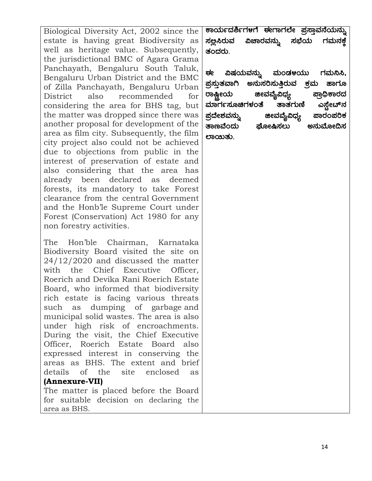Biological Diversity Act, 2002 since the estate is having great Biodiversity as well as heritage value. Subsequently, the jurisdictional BMC of Agara Grama Panchayath, Bengaluru South Taluk, Bengaluru Urban District and the BMC of Zilla Panchayath, Bengaluru Urban District also recommended for considering the area for BHS tag, but the matter was dropped since there was another proposal for development of the area as film city. Subsequently, the film city project also could not be achieved due to objections from public in the interest of preservation of estate and also considering that the area has already been declared as deemed forests, its mandatory to take Forest clearance from the central Government and the Honb'le Supreme Court under Forest (Conservation) Act 1980 for any non forestry activities.

The Hon'ble Chairman, Karnataka Biodiversity Board visited the site on 24/12/2020 and discussed the matter with the Chief Executive Officer, Roerich and Devika Rani Roerich Estate Board, who informed that biodiversity rich estate is facing various threats such as dumping of garbage and municipal solid wastes. The area is also under high risk of encroachments. During the visit, the Chief Executive Officer, Roerich Estate Board also expressed interest in conserving the areas as BHS. The extent and brief details of the site enclosed as (Annexure-VII) The matter is placed before the Board

for suitable decision on declaring the area as BHS.

ಕಾರ್ಯದರ್ಶಿಗಳಗೆ ಈಗಾಗಲೇ ಪ್ರಸ್ತಾವನೆಯನ್<mark>ನು</mark> ನ<u>ಅ</u>ಸಿರುವ ವಿಚಾರವನ್ನು ಸಭೆಯ ಗಮನ<del>ಕ</del>ೆ ತಂದರು.

ಈ ವಿಷಯವನ್ನು ಮಂಡ<mark>ಳ</mark>ಯು ಗಮನಿಸಿ, ¥À æ¸ÀÄÛvÀªÁV C£ÀĸÀj¸ÀÄwÛgÀĪÀ PÀæªÀÄ ºÁUÀÆ ರಾಷ್ಟ್ರೀಯ ಮಾರ್ಗಸೂಚಿಗಳಂತೆ ತಾತಗುಣಿ ಎಸ್ಟೇಟ್ನ<br>ಪ್ರದೇಶವನ್ನು ಜೀವವ್ಯೆವಿಧ್ಯ ಪಾರಂಪರಿಕ ¥À æzÉñÀªÀ£ÀÄß fêÀªÉÊ«zsÀå ¥ÁgÀA¥ÀjPÀ ಘೋಷಿಸಲು ಲಾಯಿತು.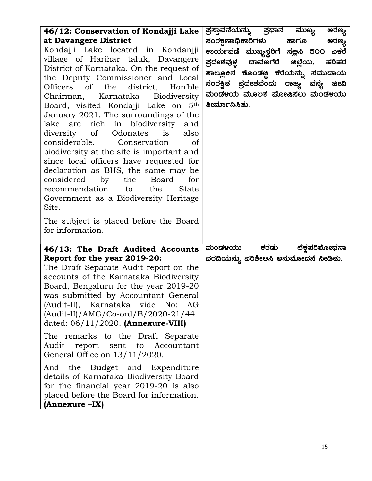| The subject is placed before the Board<br>for information.<br>ಮಂಡ೪ಯು<br>46/13: The Draft Audited Accounts<br>Report for the year 2019-20:                                                                                                                                                                                                                                                                                                                                                                                                                                | ತೀರ್ಮಾನಿಸಿತು. | ಸಂರಕ್ಷಣಾಧಿಕಾರಿಗಳು ಹಾಗೂ<br>ಅರಣ್ಯ<br>ಕಾರ್ಯಪಡೆ ಮುಖ್ಯಸ್ಥರಿಗೆ ಸಲ್ಲಸಿ 5೦೦ ಎಕರೆ<br>ಪ್ರದೇಶವುಳ್ಣ ದಾವಣಗೆರೆ ಜಿಲ್ಲೆಯ, ಹರಿಹರ<br>ತಾಲ್ಲೂಕಿನ ಕೊಂಡಜ್ಜಿ ಕೆರೆಯನ್ನು ಸಮುದಾಯ<br>ಸಂರ <del>ಕ್</del> ಷಿತ ಪ್ರದೇಶವೆಂದು ರಾಜ್ಯ ವನ್ಯ<br>ಜೀವಿ<br>ಮಂಡಳಯ ಮೂಲಕ ಘೋಷಿಸಲು ಮಂಡಳಯು |
|--------------------------------------------------------------------------------------------------------------------------------------------------------------------------------------------------------------------------------------------------------------------------------------------------------------------------------------------------------------------------------------------------------------------------------------------------------------------------------------------------------------------------------------------------------------------------|---------------|---------------------------------------------------------------------------------------------------------------------------------------------------------------------------------------------------------------------------------------------|
| The Draft Separate Audit report on the<br>accounts of the Karnataka Biodiversity<br>Board, Bengaluru for the year 2019-20<br>was submitted by Accountant General<br>(Audit-II), Karnataka vide No:<br>AG<br>$(Audit-II)/AMG/Co-ord/B/2020-21/44$<br>dated: $06/11/2020$ . (Annexure-VIII)<br>The remarks to the Draft Separate<br>Audit report sent to Accountant<br>General Office on $13/11/2020$ .<br>And the Budget and Expenditure<br>details of Karnataka Biodiversity Board<br>for the financial year 2019-20 is also<br>placed before the Board for information. | ಕರಡು          | ಲೆಕ್ತಪರಿಶೋಧನಾ<br>ವರದಿಯನ್ನು ಪರಿಶೀಅಸಿ ಅನುಮೋದನೆ ನೀಡಿತು.                                                                                                                                                                                        |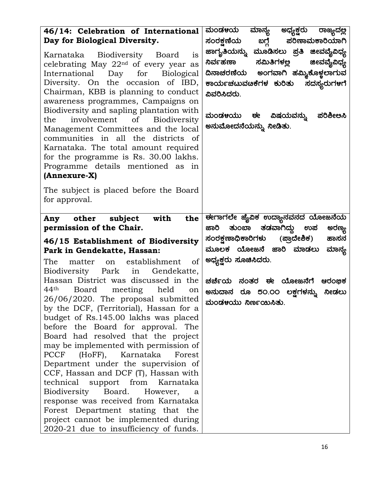| 46/14: Celebration of International<br>Day for Biological Diversity.<br>Karnataka Biodiversity Board<br><b>1S</b><br>celebrating May 22 <sup>nd</sup> of every year as<br>International Day for Biological<br>Diversity. On the occasion of IBD,<br>Chairman, KBB is planning to conduct<br>awareness programmes, Campaigns on<br>Biodiversity and sapling plantation with<br>involvement of Biodiversity<br>the<br>Management Committees and the local<br>communities in all the districts of<br>Karnataka. The total amount required<br>for the programme is Rs. 30.00 lakhs.<br>Programme details mentioned as in<br>(Annexure-X)                                                                                     | ಮಂಡ೪ಯ<br>ಅಧ್ಯ <del>ಕ್ಷ</del> ರು<br>ಮಾನ್ಯ<br>ರಾಜ್ಯದಲ್ಲ<br>ಸಂರಕ್ಷಣೆಯ ಬಗ್ಗೆ ಪರಿಣಾಮಕಾರಿಯಾಗಿ<br>ಜಾಗೃತಿಯನ್ನು ಮೂಡಿಸಲು ಪ್ರತಿ ಜೀವವೈವಿಧ್ಯ<br>ನಿರ್ವಹಣಾ<br>ಸಮಿತಿಗಳಲ್ಲ ಜೀವವೈವಿಧ್ಯ<br>ದಿನಾಚರಣೆಯ ಅಂಗವಾಗಿ ಹಮ್ಮಿಕೊಳ್ಳಲಾಗುವ<br>ಕಾರ್ಯಚಟುವೞಕೆಗಳ ಕುರಿತು<br>ಸದಸ್ಯರುಗಳಗೆ<br>ವಿವರಿಸಿದರು.<br>ಮಂಡಳಯು ಈ ವಿಷಯವನ್ನು ಪರಿಶೀಅಸಿ<br>ಅನುಮೋದನೆಯನ್ನು ನೀಡಿತು. |
|--------------------------------------------------------------------------------------------------------------------------------------------------------------------------------------------------------------------------------------------------------------------------------------------------------------------------------------------------------------------------------------------------------------------------------------------------------------------------------------------------------------------------------------------------------------------------------------------------------------------------------------------------------------------------------------------------------------------------|--------------------------------------------------------------------------------------------------------------------------------------------------------------------------------------------------------------------------------------------------------------------------------------------------------------------------|
| The subject is placed before the Board<br>for approval.                                                                                                                                                                                                                                                                                                                                                                                                                                                                                                                                                                                                                                                                  |                                                                                                                                                                                                                                                                                                                          |
| Any other subject with<br>the<br>permission of the Chair.<br>46/15 Establishment of Biodiversity                                                                                                                                                                                                                                                                                                                                                                                                                                                                                                                                                                                                                         | ಈಗಾಗಲೇ ಜೈವಿಕ ಉದ್ಯಾನವನದ ಯೋಜನೆಯ<br>ತುಂಬಾ ತಡವಾಗಿದ್ದು ಉಪ<br>ಅರಣ್ಯ<br>ಜಾರಿ<br>ಸಂರಕ್ಷಣಾಧಿಕಾರಿಗಳು (ಪ್ರಾದೇಶಿಕ)<br>ಹಾಸನ                                                                                                                                                                                                           |
| Park in Gendekatte, Hassan:<br>The<br>establishment<br>of<br>matter<br>on<br>Biodiversity Park<br>Gendekatte,<br>in                                                                                                                                                                                                                                                                                                                                                                                                                                                                                                                                                                                                      | ಮೂಲಕ ಯೋಜನೆ ಜಾರಿ ಮಾಡಲು<br>ಮಾನ್ನ<br>ಅಧ್ಯಕ್ಷರು ಸೂಚಿಸಿದರು.                                                                                                                                                                                                                                                                   |
| Hassan District was discussed in the<br>44 <sup>th</sup><br>Board meeting<br>held<br>on<br>26/06/2020. The proposal submitted<br>by the DCF, (Territorial), Hassan for a<br>budget of Rs.145.00 lakhs was placed<br>before the Board for approval. The<br>Board had resolved that the project<br>may be implemented with permission of<br><b>PCCF</b><br>(HoFF),<br>Karnataka<br>Forest<br>Department under the supervision of<br>CCF, Hassan and DCF (T), Hassan with<br>technical support from<br>Karnataka<br>Biodiversity<br>Board.<br>However,<br>a<br>response was received from Karnataka<br>Forest Department stating that the<br>project cannot be implemented during<br>2020-21 due to insufficiency of funds. | ಚರ್ಚೆಯ ನಂತರ ಈ ಯೋಜನೆಗೆ<br>ಆರಂಭಿಕ<br>ಅನುದಾನ ರೂ 5೦.೦೦ ಲಕ್ಷಗಳನ್ನು ನೀಡಲು<br>ಮಂಡಳಯು ನಿರ್ಣಯಿಸಿತು.                                                                                                                                                                                                                               |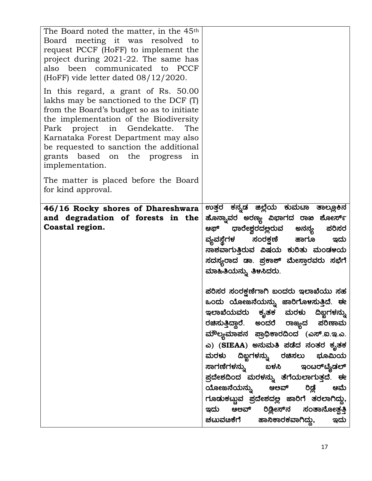| The Board noted the matter, in the 45 <sup>th</sup><br>Board meeting it was resolved<br>to<br>request PCCF (HoFF) to implement the<br>project during 2021-22. The same has<br>also been communicated to PCCF<br>(HoFF) vide letter dated $08/12/2020$ .<br>In this regard, a grant of Rs. 50.00<br>lakhs may be sanctioned to the DCF (T)<br>from the Board's budget so as to initiate<br>the implementation of the Biodiversity<br>project<br>in Gendekatte.<br>The<br>Park<br>Karnataka Forest Department may also<br>be requested to sanction the additional<br>grants based on the progress<br>in<br>implementation. |                                                                                                                                                                                                                                                                                                                                                                                                                                                                                                                                                                                     |
|--------------------------------------------------------------------------------------------------------------------------------------------------------------------------------------------------------------------------------------------------------------------------------------------------------------------------------------------------------------------------------------------------------------------------------------------------------------------------------------------------------------------------------------------------------------------------------------------------------------------------|-------------------------------------------------------------------------------------------------------------------------------------------------------------------------------------------------------------------------------------------------------------------------------------------------------------------------------------------------------------------------------------------------------------------------------------------------------------------------------------------------------------------------------------------------------------------------------------|
| The matter is placed before the Board<br>for kind approval.                                                                                                                                                                                                                                                                                                                                                                                                                                                                                                                                                              |                                                                                                                                                                                                                                                                                                                                                                                                                                                                                                                                                                                     |
| 46/16 Rocky shores of Dhareshwara<br>and degradation of forests in the<br>Coastal region.                                                                                                                                                                                                                                                                                                                                                                                                                                                                                                                                | ಉತ್ತರ ಕನ್ನಡ ಜಿಲ್ಲೆಯ ಕುಮಟಾ ತಾಲ್ಲೂಕಿನ<br>ಹೊನ್ನಾವರ ಅರಣ್ಯ ವಿಭಾಗದ ರಾಖ ಶೋರ್ಸ್<br>ಧಾರೇಶ್ವರದಲ್ಲರುವ ಅನನ್ಯ<br>ಪರಿಸರ<br>ಆಫ್<br>ವ್ಯವಸ್ಥೆಗಳ ಸಂರಕ್ಷಣಿ ಹಾಗೂ<br>ಇದು<br>ನಾಶವಾಗುತ್ತಿರುವ ವಿಷಯ ಕುರಿತು ಮಂಡಳಯ<br>ಸದಸ್ಯರಾದ ಡಾ. ಪ್ರಕಾಶ್ ಮೇಸ್ತಾರವರು ಸಭೆಗೆ<br>ಮಾಹಿತಿಯನ್ನು ತಿಳಸಿದರು.<br>ಪರಿಸರ ಸಂರಕ್ಷಣೆಗಾಗಿ ಬಂದರು ಇಲಾಖೆಯು ಸಹ<br>ಒಂದು ಯೋಜನೆಯನ್ನು ಜಾರಿಗೊ <mark>ಳ</mark> ಸುತ್ತಿದೆ. ಈ<br>ಇಲಾಖೆಯವರು ಕೃತಕ ಮರಳು ದಿಬ್ಬಗಳನ್ನು<br>ರಚಿಸುತ್ತಿದ್ದಾರೆ. ಅಂದರೆ ರಾಜ್ಯದ ಪರಿಣಾಮ<br>ಮೌಲ್ಯಮಾಪನ ಪ್ರಾಧಿಕಾರದಿಂದ (ಎಸ್.ಐ.ಇ.ಎ.<br>ಎ) (SIEAA) ಅನುಮತಿ ಪಡೆದ ನಂತರ ಕೃತಕ<br>ಮರಳು ದಿಖ್ಖಗಳನ್ನು ರಚಿಸಲು ಭೂಮಿಯ<br>ಸಾಗಣೆಗಳನ್ನು ಬಳಸಿ ಇಂಟರ್ <b>ಟೈಡಲ್</b> |
|                                                                                                                                                                                                                                                                                                                                                                                                                                                                                                                                                                                                                          | ಪ್ರದೇಶದಿಂದ ಮರಳನ್ನು ತೆಗೆಯಲಾಗುತ್ತದೆ. ಈ<br>ಯೋಜನೆಯನ್ನು ಆಅವ್ ರಿಡ್ಲೆ ಆಮೆ<br>ಗೂಡುಕಟ್ಟುವ ಪ್ರದೇಶದಲ್ಲ ಜಾರಿಗೆ ತರಲಾಗಿದ್ದು,<br>ಇದು ಆಲವ್ ರಿಡ್ಲೀಸ್ <b>ನ ಸಂತಾನೋ</b> ತ್ಪತ್ತಿ<br>ಚಟುವೞಕೆಗೆ ಹಾನಿಕಾರಕವಾಗಿದ್ದು,<br>ಇದು                                                                                                                                                                                                                                                                                                                                                                                   |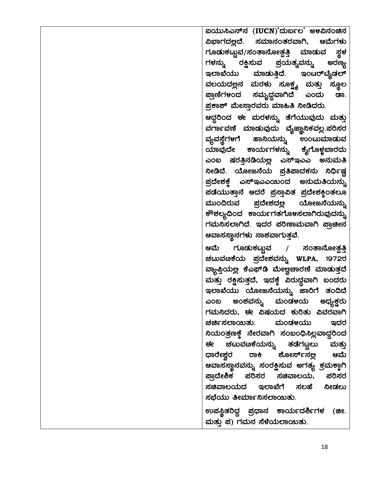ಐಯುಸಿಎನ್**ನ (IUCN)**'ದುರ್ಬಲ' ಅಳವಿನಂಚಿನ ವಿಭಾಗದ<u>ಲ್</u>ಲದೆ. ಸಮಾನಂತರವಾಗಿ, ಆಮೆಗಳು ಗೂಡುಕಟ್ಟುವ/ಸಂತಾನೋತ್ಪತ್ತಿ ಮಾಡುವ ಸ್ಥಳ<br>ಗಳನ್ನು ರಕ್ಷಿಸುವ ಪ್ರಯತ್ನವನ್ನು ಅರಣ್ಯ ಗಳನ್ನು ರಕ್ಷಿಸುವ ಪ್ರಯತ್ನವನ್ನು ಅರಣ್<mark>ಯ</mark> ಇಲಾಖೆಯು ಮಾಡುತ್ತಿದೆ. ಇಂಟರ್**ಟೈಡಲ್** ವಲಯದಲ್ಲಿನ ಮರಳು ಸೂಕ್ಷ್ಮ ಮತ್ತು ಸ್ಥೂಲ ಪ್ರಾಣಿಗಳಂದ ಸಮೃದ್ಧವಾಗಿದೆ ಎಂದು ಡಾ. ಪ್ರಕಾಶ್ ಮೇಸ್ತಾರವರು ಮಾಹಿತಿ ನೀಡಿದರು. ಆದ್ದರಿಂದ ಈ ಮರಳನ್ನು ತೆಗೆಯುವುದು ಮತ್ತು ವರ್ಗಾವಣಿ ಮಾಡುವುದು ವೈಜ್ಞಾನಿಕವಲ್ಲ.ಪರಿಸರ ವ್ಯವಸ್ಥೆಗಳಗೆ ಹಾನಿಯನ್ನು ಉಂಟುಮಾಡುವ<br>ಯಾವುದೇ ಕಾರ್ಯಗಳನ್ನು ಕೈಗೊಳ್ಣಬಾರದು ಯಾವುದೇ ಕಾರ್ಯಗಳನ್ನು ಕೈಗೊಳ್<mark>ಜ</mark>ಬಾರದು ಎಂಬ ಷರತ್ತಿನಡಿಯಲ್ಲ ಎಸ್ಇಎಎ ಅನುಮತಿ ಸೀಡಿದೆ. ಯೋಜನೆಯ ಪ್ರತಿಪಾದಕನು **ನಿರ್ಧಿ**ಷ್ಟ <u>ಪ್ರದೇಶಕ್ತೆ</u> ಎಸ್ಇಎಎಯಿಂದ ಅನುಮತಿಯನ್ನು ಪಡೆಯುತ್ತಾನೆ ಆದರೆ ಪ್ರಸ್ತಾವಿತ ಪ್ರದೇಶ<del>ಕ್</del>ಕಿಂತಲೂ ಮುಂದಿರುವ ಪ್ರದೇಶದ<u>ಲ್ಲ</u> ಯೋಜನೆಯನ್ನು ಕೌಶಲ್ಯದಿಂದ ಕಾರ್ಯಗತಗೊ<mark>ಳ</mark>ಸಲಾಗಿರುವುದನ್ನು ಗಮನಿಸಲಾಗಿದೆ. ಇದರ ಪರಿಣಾಮವಾಗಿ ಪ್ರಾಚೀನ ಆವಾಸಸ್ಥಾನಗಳು ನಾಶವಾಗುತ್ತವೆ. ಆಮೆ ಗೂಡುಕಟ್<mark>ಚ</mark>ಾವ / ಸಂತಾನೋತ್ಪತ್ತಿ ಚಟುವಚಿಕೆಯ ಪ್ರದೇಶವನ್ನು WLPA, 1972ರ ವ್ಯಾಪ್ತಿಯಲ್ಲ ಕೆಎಫ್ಡಿ ಮೇಲ್ವಚಾರಣಿ ಮಾಡುತ್ತದೆ ಮತ್ತು ರಕ್ಷಿಸುತ್ತದೆ, ಇದಕ್ಕೆ ವಿರುದ್ಧವಾಗಿ ಬಂದರು ಇಲಾಖೆಯು ಯೋಜನೆಯನ್ನು ಜಾರಿಗೆ ತಂದಿದೆ ಎಂಬ ಅಂಶವನ್ನು ಮಂಡ<mark>ಳ</mark>ಯ ಅಧ್ಯ<del>್</del>ಚ್ಷರು ಗಮನಿದರು, ಈ ವಿಷಯದ ಕುರಿತು ವಿವರವಾಗಿ ಚರ್ಚಿಸಲಾಯಿತು. ಮಂಡಳಯು ಇದರ ಸಿಯಂತ್ರಣಕ್ಕೆ ನೇರವಾಗಿ ಸಂಬಂಧಿಸಿಲ್ಲವಾದ್ದರಿಂದ<br>ಈ ಚಟುವೞಕೆಯನ್ನು ತಡೆಗಟ್ಟಲು ಮತ್ತು ಚಟುವಟಿಕೆಯನ್ನು ತಡೆಗಟ್ಟಲು ಮತ್ತ<mark>ು</mark> ಧಾರೇಶ್ತರ ರಾ<del>ಕಿ</del> ಶೋರ್ಸ್**ನಲ್ಲ ಆಮೆ** ಆವಾಸಸ್ಥಾನವನ್ನು ಸಂರಕ್ಷಿಸುವ ಅಗತ್ಯ ಕ್ರಮಕ್ಕಾಗಿ<br>ಪ್ರಾದೇಶಿಕ ಪರಿಸರ ಸಚಿವಾಲಯ. ಪರಿಸರ ಪರಿಸರ ಸಚಿವಾಲಯ, ಪರಿಸರ ಸಚಿವಾಲಯದ ಇಲಾಖೆಗೆ ಸಲಹೆ ನೀಡಲು ಸಭೆಯು ತೀರ್ಮಾನಿಸಲಾಯಿತು.

ಉಪಸ್ಥಿತರಿದ್ದ ಪ್ರಧಾನ ಕಾರ್ಯದರ್ಶಿಗಳ (ಜೀ. ಮತ್ತು ಪ) ಗಮನ ಸೆಳೆಯಲಾಯಿತು.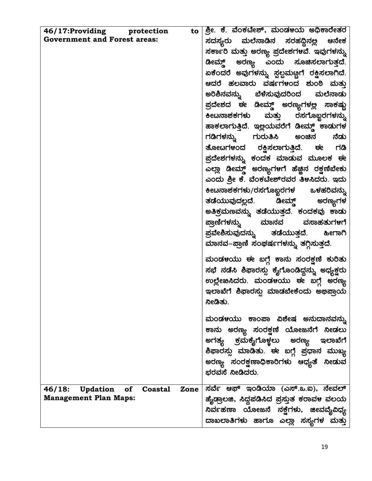| 46/17:Providing protection                                | $\mathsf{to} \mid$ ಶ್ರೀ. ಕೆ. ವೆಂಕಟೇಶ್, ಮಂಡಳಯ ಅಧಿಕಾರೇತರ |
|-----------------------------------------------------------|--------------------------------------------------------|
| <b>Government and Forest areas:</b>                       | ಸದಸ್ಯರು ಮಲೆನಾಡಿನ ಸರಹದ್ದಿನಲ್ಲ ಆನೇಕ                      |
|                                                           | ಸರ್ಕಾರಿ ಮತ್ತು ಅರಣ್ಯ ಪ್ರದೇಶಗಳವೆ. ಇವುಗಳನ್ನು              |
|                                                           | ಡೀಮ್ಡ್ ಅರಣ್ಯ ಎಂದು ಸೂಚಿಸಲಾಗುತ್ತದೆ.                      |
|                                                           | ಏಕೆಂದರೆ ಅವುಗಳನ್ನು ಸ್ಪಲ್ಪಮಣ್ಣಗೆ ರಕ್ಷಿಸಲಾಗಿದೆ.           |
|                                                           | ಆದರೆ ಹಲವಾರು ವರ್ಷಗಳಂದ ಶುಂಠಿ ಮತ್ತು                       |
|                                                           | ಅರಿಶಿನವನ್ನು ಬೆಳೆಸುವುದರಿಂದ ಮಲೆನಾಡು                      |
|                                                           | ಪ್ರದೇಶದ ಈ ಡೀಮ್ಡ್ ಅರಣ್ಯಗಳಲ್ಲ ಸಾಕಷ್ಟು                    |
|                                                           | ಕೀಟನಾಶಕಗಳು ಮತ್ತು ರಸಗೊಬ್ಬರಗಳನ್ನು                        |
|                                                           | ಹಾಕಲಾಗುತ್ತಿದೆ. ಇಲ್ಲಯವರೆಗೆ ಡೀಮ್ಡ್ ಕಾಡುಗಳ                |
|                                                           | ಗಡಿಗಳನ್ನು ಗುರುತಿಸಿ ಅಂಚಿನ ನೆಡು                          |
|                                                           | ತೋಟಗಳಂದ ರಕ್ಷಿಸಲಾಗುತ್ತಿದೆ. ಈ ಗಡಿ                        |
|                                                           | ಪ್ರದೇಶಗಳನ್ನು ಕಂದಕ ಮಾಡುವ ಮೂಲಕ ಈ                         |
|                                                           | ಎಲ್ಲಾ ಡೀಮ್ಡ್ ಅರಣ್ಯಗಳಗೆ ಹೆಚ್ಚಿನ ರಕ್ಷಣೆಬೇಕು              |
|                                                           | ಎಂದು ಶ್ರೀ ಕೆ. ವೆಂಕಟೇಶ್ರವರ ತಿಳಸಿದರು. ಇದು                |
|                                                           | ಕೀಟನಾಶಕಗಳು/ರಸಗೊಬ್ಬರಗಳ ಒಳಹರಿವನ್ನು                       |
|                                                           | ತಡೆಯುವುದಲ್ಲದೆ. ಡೀಮ್ಡ್ ಅರಣ್ಯಗಳ                          |
|                                                           | ಅತಿಕ್ರಮಣವನ್ನು ತಡೆಯುತ್ತದೆ. ಕಂದಕವು ಕಾಡು                  |
|                                                           | ಪ್ರಾಣಿಗಳನ್ನು ಮಾನವ ವಸಾಹತುಗಳಗೆ                           |
|                                                           | ಪ್ರವೇಶಿಸುವುದನ್ನು ತಡೆಯುತ್ತದೆ.<br>ಹೀಗಾಗಿ                 |
|                                                           | ಮಾನವ–ಪ್ರಾಣಿ ಸಂಘರ್ಷಗಳನ್ನು ತಗ್ಗಿಸುತ್ತದೆ.                 |
|                                                           | ಮಂಡಳಯು ಈ ಬಗ್ಗೆ ಕಾನು ಸಂರಕ್ಷಣೆ ಕುರಿತು                    |
|                                                           | ಸಭೆ ನಡೆಸಿ ಶಿಫಾರಸ್ಸು ಕೈಗೊಂಡಿದ್ದನ್ನು ಅಧ್ಯಕ್ಷರು           |
|                                                           | ಉಲ್ಲೇಖಸಿದರು. ಮಂಡಳಯು ಈ ಬಗ್ಗೆ ಅರಣ್ಯ                      |
|                                                           | ಇಲಾಖೆಗೆ ಶಿಫಾರಸ್ಸು ಮಾಡಬೇಕೆಂದು ಅಭಿಪ್ರಾಯ                  |
|                                                           | ನೀಡಿತು.                                                |
|                                                           |                                                        |
|                                                           | ಮಂಡಳಯು ಕಾಂಪಾ ವಿಶೇಷ ಅನುದಾನವನ್ನು                         |
|                                                           | ಕಾನು ಅರಣ್ಯ ಸಂರಕ್ಷಣೆ ಯೋಜನೆಗೆ ನೀಡಲು                      |
|                                                           | ಅಗತ್ಯ ಕ್ರಮಕೈಗೊಳ್ಳಲು ಅರಣ್ಯ ಇಲಾಖೆಗೆ                      |
|                                                           | ಶಿಫಾರಸ್ಸು ಮಾಡಿತು. ಈ ಬಗ್ಗೆ ಪ್ರಧಾನ ಮುಖ್ಯ                 |
|                                                           | ಅರಣ್ಯ ಸಂರಕ್ಷಣಾಧಿಕಾರಿಗಳು ಆಧ್ಯತೆ ನೀಡುವ<br>ಭರವಸೆ ನೀಡಿದರು. |
|                                                           |                                                        |
| of<br>46/18:<br><b>Updation</b><br><b>Coastal</b><br>Zone | ಸರ್ವೆ ಆಫ್ ಇಂಡಿಯಾ (ಎಸ್.ಒ.ಐ), ನೇವಲ್                      |
| <b>Management Plan Maps:</b>                              | ಹೈಡ್ರಾಲಜಿ, ಸಿದ್ಧಪಡಿಸಿದ ಪ್ರಸ್ತುತ ಕರಾವಳ ವಲಯ              |
|                                                           | ನಿರ್ವಹಣಾ ಯೋಜನೆ ನಕ್ಷೆಗಳು, ಜೀವವೈವಿಧ್ಯ                    |
|                                                           | ದಾಖಲಾತಿಗಳು ಹಾಗೂ ಎಲ್ಲಾ ಸಸ್ಯಗಳ ಮತ್ತು                     |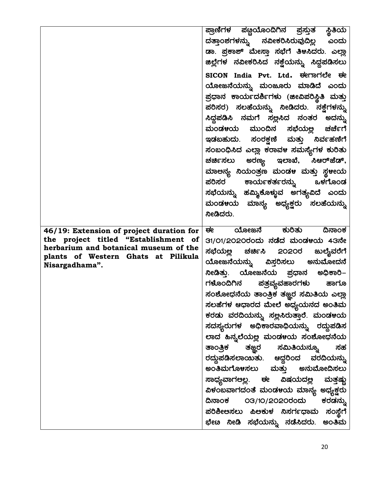| ಪ್ರಾಣಿಗಳ ಪಟ್ಟಿಯೊಂದಿಗಿನ ಪ್ರಸ್ತುತ ಸ್ಥಿತಿಯ<br>ದತ್ತಾಂಶಗಳನ್ನು ನವೀಕರಿಸಿರುವುದಿ <u>ಲ್</u> ಲ ಎಂದು                                                                                                                                                                                                                                                                                                                                                                                                                                                                                                                                                                         |
|------------------------------------------------------------------------------------------------------------------------------------------------------------------------------------------------------------------------------------------------------------------------------------------------------------------------------------------------------------------------------------------------------------------------------------------------------------------------------------------------------------------------------------------------------------------------------------------------------------------------------------------------------------------|
| ಡಾ. ಪ್ರಕಾಶ್ ಮೇಸ್ತಾ ಸಭೆಗೆ ತಿಳಸಿದರು. ಎಲ್ಲಾ<br>ಜಿಲ್ಲೆಗಳ ನವೀಕರಿಸಿದ ನಕ್ಷೆಯನ್ನು ಸಿದ್ಧಪಡಿಸಲು                                                                                                                                                                                                                                                                                                                                                                                                                                                                                                                                                                            |
| SICON India Pvt. Ltd. <del>ರ</del> ೕಗಾಗಲೇ ಈ                                                                                                                                                                                                                                                                                                                                                                                                                                                                                                                                                                                                                      |
| ಯೋಜನೆಯನ್ನು ಮಂಜೂರು ಮಾಡಿದೆ ಎಂದು<br>ಪ್ರಧಾನ ಕಾರ್ಯದರ್ಶಿಗಳು (ಜೀವಿಪರಿಸ್ಥಿತಿ ಮತ್ತು<br>ಪರಿಸರ) ಸಲಹೆಯನ್ನು ನೀಡಿದರು. ನಕ್ಷೆಗಳನ್ನು<br>ಸಿದ್ದಪಡಿಸಿ ನಮಗೆ ಸಲ್ಲಸಿದ ನಂತರ ಅದನ್ನು<br>ಮಂಡಳಯ ಮುಂದಿನ ಸಭೆಯಲ್ಲ ಚರ್ಚೆಗೆ<br>ಇಡಬಹುದು. ಸಂರಕ್ಷಣೆ ಮತ್ತು ನಿರ್ವಹಣಿಗೆ<br>ಸಂಬಂಧಿಸಿದ ಎಲ್ಲಾ ಕರಾವಳ ಸಮಸ್ಯೆಗಳ ಕುರಿತು<br>ಚರ್ಚಿಸಲು ಅರಣ್ಯ ಇಲಾಖೆ, ಸಿಆರ್ <i>ಜೆಡ್</i> ,<br>ಮಾಅನ್ಯ ನಿಯಂತ್ರಣ ಮಂಡಳ ಮತ್ತು ಸ್ಥಳೕಯ<br>ಪರಿಸರ ಕಾರ್ಯಕರ್ತರನ್ನು ಒಳಗೊಂಡ<br>ಸಭೆಯನ್ನು ಹಮ್ಮಿಕೊಳ್ಳುವ ಅಗತ್ಯವಿದೆ ಎಂದು                                                                                                                                                                                                                               |
| ಮಂಡ೪ಯ ಮಾನ್ಯ ಅಧ್ಯಕ್ಷರು ಸಲಹೆಯನ್ನು<br>ನೀಡಿದರು.                                                                                                                                                                                                                                                                                                                                                                                                                                                                                                                                                                                                                      |
| ಯೋಜನೆ ಕುರಿತು<br><u>ਚ ਇ</u><br>ದಿನಾಂಕ<br>31/O1/2O2Oರಂದು ನಡೆದ ಮಂಡ೪ಯ 43ನೇ<br>ಸಭೆಯಲ್ಲ ಚರ್ಚಿಸಿ 2O2Oರ ಜುಲೈವರೆಗೆ<br>ಯೋಜನೆಯನ್ನು ವಿಸ್ತರಿಸಲು ಅನುಮೋದನೆ<br>ನೀಡಿತ್ತು. ಯೋಜನೆಯ ಪ್ರಧಾನ <mark>ಅ</mark> ಧಿಕಾರಿ–<br>ಗಳೊಂದಿಗಿನ ಪತ್ರವ್ಯವಹಾರಗಳು ಹಾಗೂ<br>ಸಂಶೋಧನೆಯ ತಾಂತ್ರ <del>ಿಕ</del> ತಜ್ಞರ ಸಮಿತಿಯ ಎಲ್ಲಾ<br>ಸಲಹೆಗಳ ಆಧಾರದ ಮೇಲೆ ಅಧ್ಯಯನದ ಅಂತಿಮ<br>ಕರಡು ವರದಿಯನ್ನು ಸಲ್ಲಸಿರುತ್ತಾರೆ. ಮಂಡಳಯ<br>ಸದಸ್ಯರುಗಳ ಅಧಿಕಾರವಾಧಿಯನ್ನು ರದ್ದುಪಡಿಸ<br>ಲಾದ ಹಿನ್ನಲೆಯಲ್ಲ ಮಂಡಳಯ ಸಂಶೋಧನೆಯ<br>ತಾಂತ್ರಿಕ ತಜ್ಞರ ಸಮಿತಿಯನ್ನೂ ಸಹ<br>ರದ್ದುಪಡಿಸಲಾಯಿತು. ಆದ್ದರಿಂದ ವರದಿಯನ್ನು<br><b>ಅಂತಿಮಗೊಳಸಲು ಮತ್ತು ಅನುಮೋದಿಸಲು</b><br>ಸಾಧ್ಯವಾಗಅಲ್ಲ. ಈ ವಿಷಯದಲ್ಲ ಮತ್ತಷ್ಟು<br>ವಿಳಂಬವಾಗದಂತೆ ಮಂಡಳಯ ಮಾನ್ಯ ಅಧ್ಯಕ್ಷರು<br>ದಿನಾಂಕ ೦౩/1೦/2೦2೦ರಂದು ಕರಡನ್ನು |
|                                                                                                                                                                                                                                                                                                                                                                                                                                                                                                                                                                                                                                                                  |